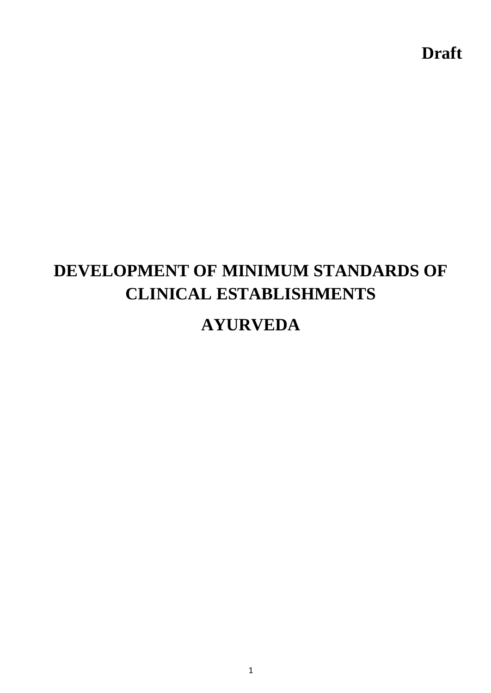**Draft**

# **DEVELOPMENT OF MINIMUM STANDARDS OF CLINICAL ESTABLISHMENTS**

# **AYURVEDA**

1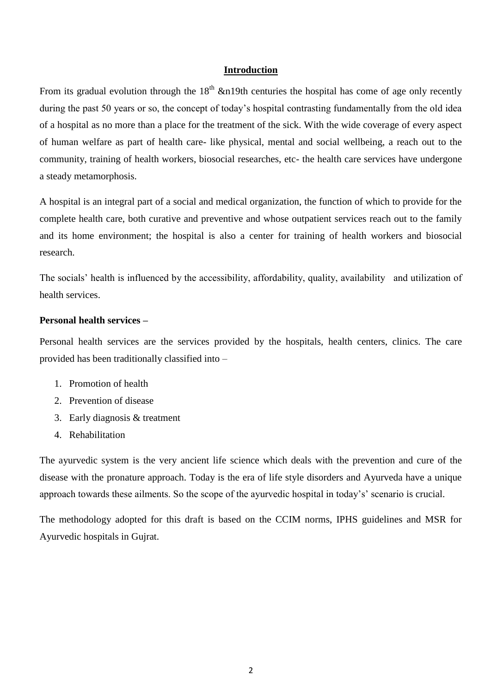#### **Introduction**

From its gradual evolution through the  $18<sup>th</sup>$  &n19th centuries the hospital has come of age only recently during the past 50 years or so, the concept of today's hospital contrasting fundamentally from the old idea of a hospital as no more than a place for the treatment of the sick. With the wide coverage of every aspect of human welfare as part of health care- like physical, mental and social wellbeing, a reach out to the community, training of health workers, biosocial researches, etc- the health care services have undergone a steady metamorphosis.

A hospital is an integral part of a social and medical organization, the function of which to provide for the complete health care, both curative and preventive and whose outpatient services reach out to the family and its home environment; the hospital is also a center for training of health workers and biosocial research.

The socials' health is influenced by the accessibility, affordability, quality, availability and utilization of health services.

#### **Personal health services –**

Personal health services are the services provided by the hospitals, health centers, clinics. The care provided has been traditionally classified into –

- 1. Promotion of health
- 2. Prevention of disease
- 3. Early diagnosis & treatment
- 4. Rehabilitation

The ayurvedic system is the very ancient life science which deals with the prevention and cure of the disease with the pronature approach. Today is the era of life style disorders and Ayurveda have a unique approach towards these ailments. So the scope of the ayurvedic hospital in today's' scenario is crucial.

The methodology adopted for this draft is based on the CCIM norms, IPHS guidelines and MSR for Ayurvedic hospitals in Gujrat.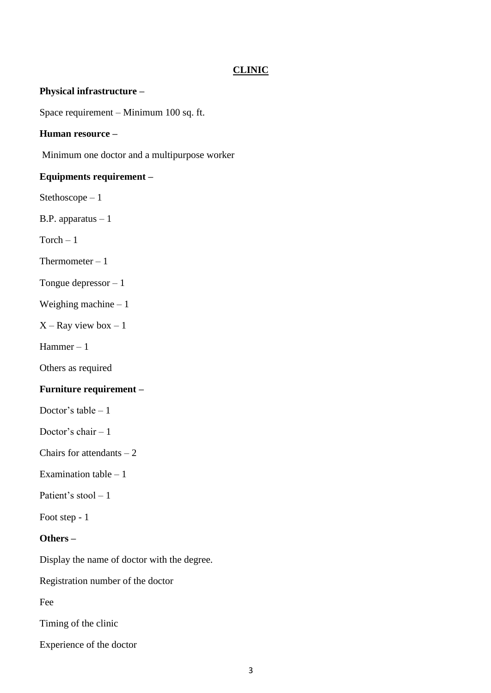#### **CLINIC**

#### **Physical infrastructure –**

Space requirement – Minimum 100 sq. ft.

#### **Human resource –**

Minimum one doctor and a multipurpose worker

#### **Equipments requirement –**

Stethoscope – 1

B.P. apparatus – 1

 $Torch - 1$ 

Thermometer  $-1$ 

Tongue depressor – 1

Weighing machine – 1

 $X$  – Ray view box – 1

Hammer – 1

Others as required

#### **Furniture requirement –**

Doctor's table  $-1$ 

Doctor's chair  $-1$ 

Chairs for attendants  $-2$ 

Examination table  $-1$ 

Patient's stool – 1

Foot step - 1

#### **Others –**

Display the name of doctor with the degree.

Registration number of the doctor

Fee

Timing of the clinic

Experience of the doctor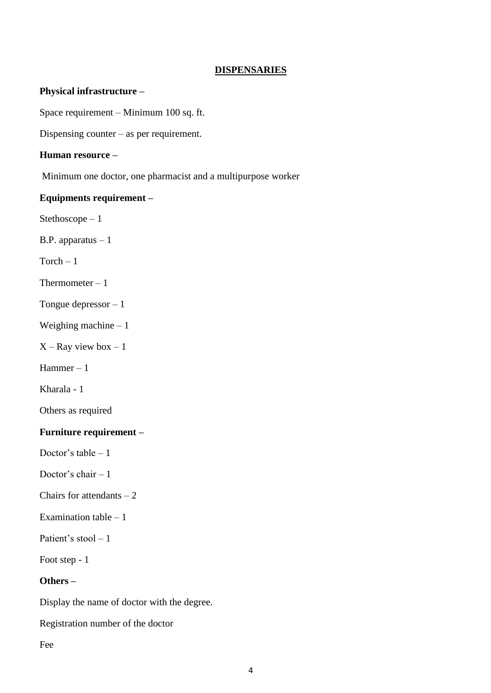#### **DISPENSARIES**

#### **Physical infrastructure –**

Space requirement – Minimum 100 sq. ft.

Dispensing counter – as per requirement.

#### **Human resource –**

Minimum one doctor, one pharmacist and a multipurpose worker

#### **Equipments requirement –**

Stethoscope – 1

B.P. apparatus  $-1$ 

 $Torch - 1$ 

Thermometer  $-1$ 

Tongue depressor – 1

Weighing machine – 1

 $X - Ray$  view box  $-1$ 

Hammer – 1

Kharala - 1

Others as required

#### **Furniture requirement –**

Doctor's table  $-1$ 

Doctor's chair  $-1$ 

Chairs for attendants  $-2$ 

Examination table – 1

Patient's stool – 1

Foot step - 1

# **Others –**

Display the name of doctor with the degree.

Registration number of the doctor

Fee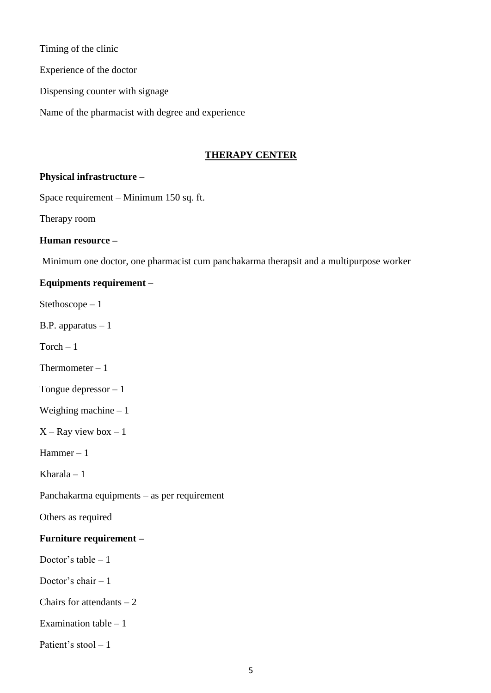Timing of the clinic

Experience of the doctor

Dispensing counter with signage

Name of the pharmacist with degree and experience

# **THERAPY CENTER**

# **Physical infrastructure –**

Space requirement – Minimum 150 sq. ft.

Therapy room

# **Human resource –**

Minimum one doctor, one pharmacist cum panchakarma therapsit and a multipurpose worker

# **Equipments requirement –**

Stethoscope – 1

B.P. apparatus – 1

 $Torch - 1$ 

Thermometer  $-1$ 

Tongue depressor – 1

Weighing machine  $-1$ 

 $X - Ray$  view box  $-1$ 

Hammer – 1

Kharala – 1

Panchakarma equipments – as per requirement

Others as required

# **Furniture requirement –**

Doctor's table  $-1$ 

Doctor's chair  $-1$ 

Chairs for attendants  $-2$ 

Examination table  $-1$ 

Patient's stool  $-1$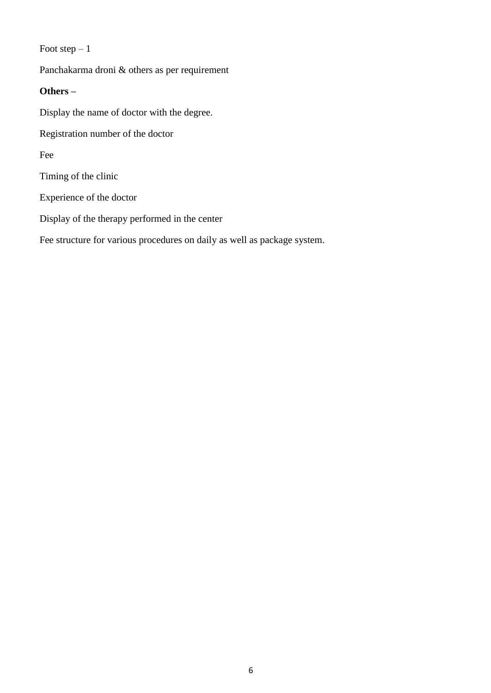# Foot step  $-1$

Panchakarma droni & others as per requirement

## **Others –**

Display the name of doctor with the degree.

Registration number of the doctor

Fee

Timing of the clinic

Experience of the doctor

Display of the therapy performed in the center

Fee structure for various procedures on daily as well as package system.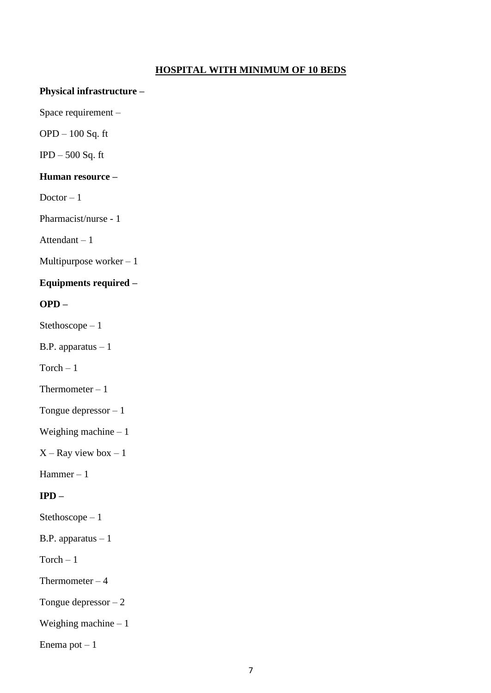# **HOSPITAL WITH MINIMUM OF 10 BEDS**

#### **Physical infrastructure –**

Space requirement –

OPD – 100 Sq. ft

 $IPD - 500$  Sq. ft

# **Human resource –**

Doctor  $-1$ 

Pharmacist/nurse - 1

Attendant – 1

Multipurpose worker – 1

# **Equipments required –**

# **OPD –**

Stethoscope – 1

B.P. apparatus – 1

 $Torch - 1$ 

Thermometer  $-1$ 

Tongue depressor – 1

Weighing machine – 1

 $X - Ray$  view box  $-1$ 

Hammer – 1

# **IPD –**

Stethoscope – 1

B.P. apparatus – 1

 $Torch - 1$ 

Thermometer  $-4$ 

Tongue depressor  $-2$ 

Weighing machine – 1

Enema pot  $-1$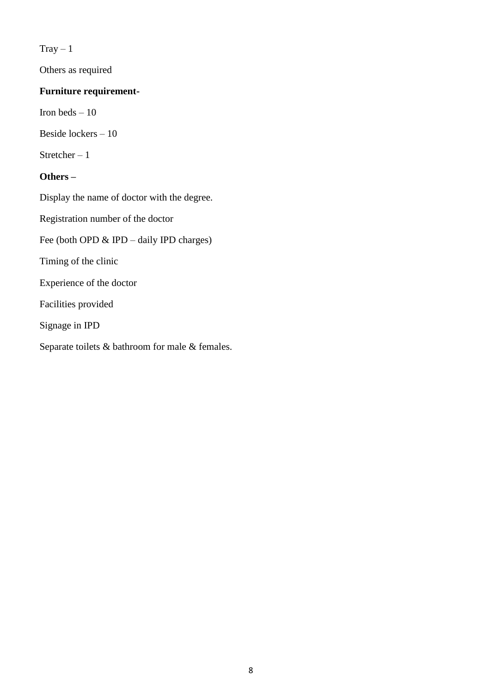$Tray-1$ 

Others as required

# **Furniture requirement-**

Iron beds – 10

Beside lockers – 10

Stretcher  $-1$ 

# **Others –**

Display the name of doctor with the degree.

Registration number of the doctor

Fee (both OPD & IPD – daily IPD charges)

Timing of the clinic

Experience of the doctor

Facilities provided

Signage in IPD

Separate toilets & bathroom for male & females.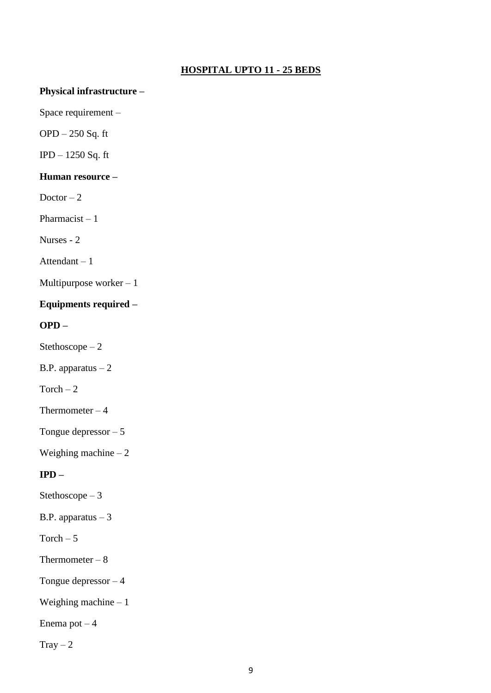# **HOSPITAL UPTO 11 - 25 BEDS**

## **Physical infrastructure –**

Space requirement –

OPD – 250 Sq. ft

IPD – 1250 Sq. ft

# **Human resource –**

Doctor  $-2$ 

Pharmacist  $-1$ 

Nurses - 2

Attendant – 1

Multipurpose worker  $-1$ 

# **Equipments required –**

**OPD –**

Stethoscope – 2

B.P. apparatus – 2

Torch  $-2$ 

Thermometer  $-4$ 

Tongue depressor – 5

Weighing machine  $-2$ 

# **IPD –**

Stethoscope – 3

B.P. apparatus  $-3$ 

Torch  $-5$ 

Thermometer  $-8$ 

Tongue depressor – 4

Weighing machine – 1

Enema pot  $-4$ 

 $Tray - 2$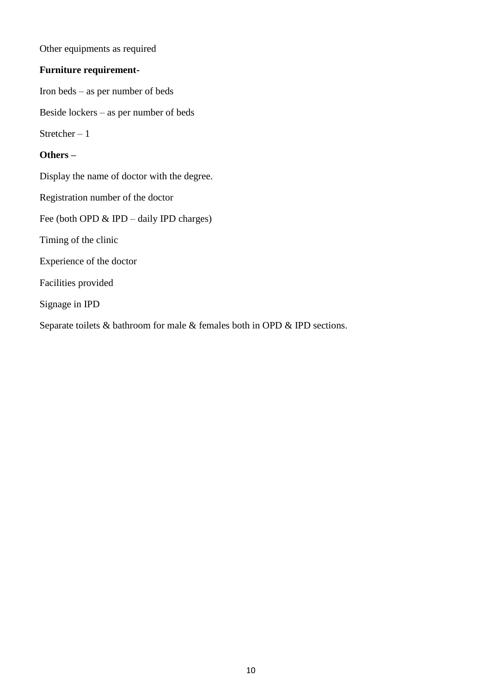Other equipments as required

# **Furniture requirement-**

Iron beds – as per number of beds

Beside lockers – as per number of beds

Stretcher  $-1$ 

### **Others –**

Display the name of doctor with the degree.

Registration number of the doctor

Fee (both OPD & IPD – daily IPD charges)

Timing of the clinic

Experience of the doctor

Facilities provided

Signage in IPD

Separate toilets & bathroom for male & females both in OPD & IPD sections.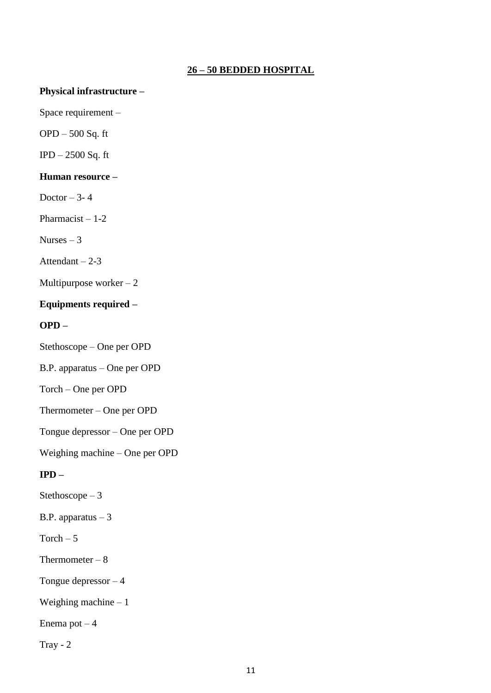# **26 – 50 BEDDED HOSPITAL**

#### **Physical infrastructure –**

Space requirement –

OPD – 500 Sq. ft

IPD – 2500 Sq. ft

# **Human resource –**

Doctor  $-3-4$ 

Pharmacist  $-1-2$ 

Nurses  $-3$ 

Attendant  $-2-3$ 

Multipurpose worker  $-2$ 

# **Equipments required –**

**OPD –**

Stethoscope – One per OPD

B.P. apparatus – One per OPD

Torch – One per OPD

Thermometer – One per OPD

Tongue depressor – One per OPD

Weighing machine – One per OPD

# **IPD –**

Stethoscope – 3

B.P. apparatus  $-3$ 

Torch  $-5$ 

Thermometer  $-8$ 

Tongue depressor – 4

Weighing machine – 1

Enema pot  $-4$ 

Tray -  $2$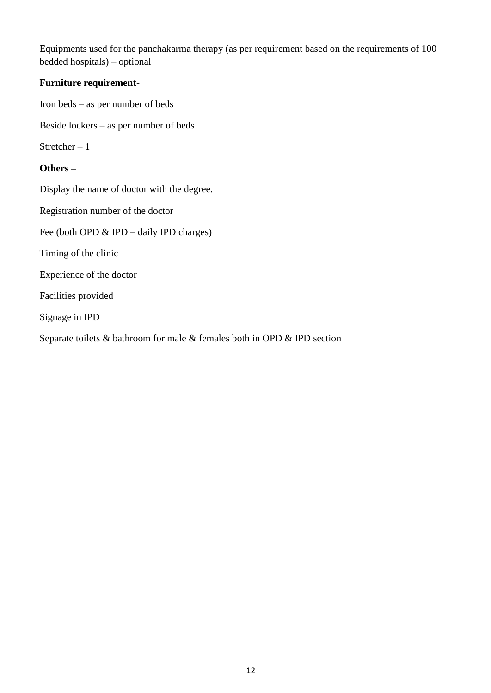Equipments used for the panchakarma therapy (as per requirement based on the requirements of 100 bedded hospitals) – optional

# **Furniture requirement-**

Iron beds – as per number of beds

Beside lockers – as per number of beds

Stretcher – 1

# **Others –**

Display the name of doctor with the degree.

Registration number of the doctor

Fee (both OPD & IPD – daily IPD charges)

Timing of the clinic

Experience of the doctor

Facilities provided

Signage in IPD

Separate toilets & bathroom for male & females both in OPD & IPD section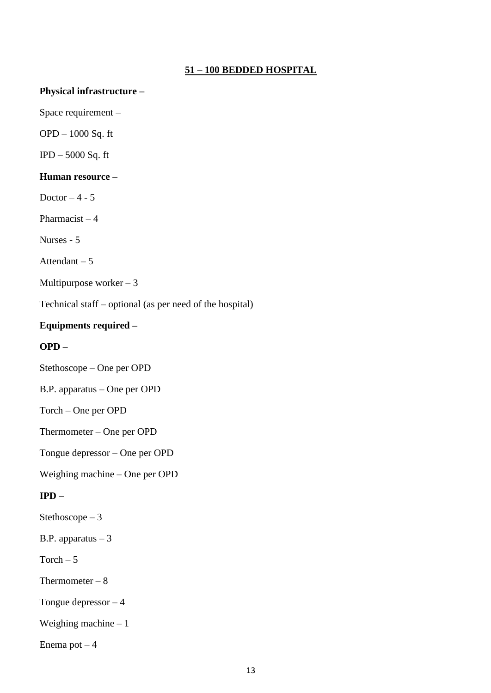# **51 – 100 BEDDED HOSPITAL**

#### **Physical infrastructure –**

Space requirement –

OPD – 1000 Sq. ft

IPD – 5000 Sq. ft

# **Human resource –**

Doctor  $-4 - 5$ 

Pharmacist  $-4$ 

Nurses - 5

Attendant  $-5$ 

Multipurpose worker  $-3$ 

Technical staff – optional (as per need of the hospital)

# **Equipments required –**

# **OPD –**

Stethoscope – One per OPD

B.P. apparatus – One per OPD

Torch – One per OPD

Thermometer – One per OPD

Tongue depressor – One per OPD

Weighing machine – One per OPD

# **IPD –**

Stethoscope – 3

B.P. apparatus  $-3$ 

Torch  $-5$ 

Thermometer  $-8$ 

Tongue depressor – 4

Weighing machine  $-1$ 

Enema pot  $-4$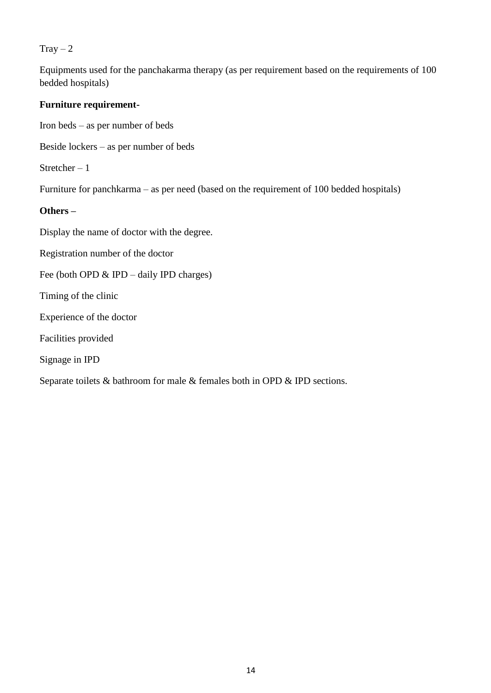#### $Tray - 2$

Equipments used for the panchakarma therapy (as per requirement based on the requirements of 100 bedded hospitals)

# **Furniture requirement-**

Iron beds – as per number of beds

Beside lockers – as per number of beds

Stretcher  $-1$ 

Furniture for panchkarma – as per need (based on the requirement of 100 bedded hospitals)

# **Others –**

Display the name of doctor with the degree.

Registration number of the doctor

Fee (both OPD & IPD – daily IPD charges)

Timing of the clinic

Experience of the doctor

Facilities provided

Signage in IPD

Separate toilets & bathroom for male & females both in OPD & IPD sections.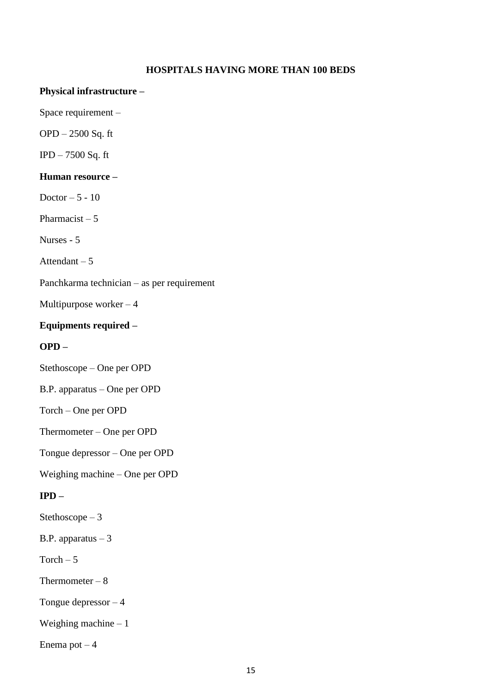## **HOSPITALS HAVING MORE THAN 100 BEDS**

#### **Physical infrastructure –**

Space requirement –

OPD – 2500 Sq. ft

IPD – 7500 Sq. ft

# **Human resource –**

Doctor  $-5 - 10$ 

Pharmacist  $-5$ 

Nurses - 5

Attendant – 5

Panchkarma technician – as per requirement

Multipurpose worker – 4

#### **Equipments required –**

#### **OPD –**

Stethoscope – One per OPD

B.P. apparatus – One per OPD

Torch – One per OPD

Thermometer – One per OPD

Tongue depressor – One per OPD

Weighing machine – One per OPD

# **IPD –**

Stethoscope – 3

B.P. apparatus  $-3$ 

Torch  $-5$ 

Thermometer  $-8$ 

Tongue depressor – 4

Weighing machine  $-1$ 

Enema pot  $-4$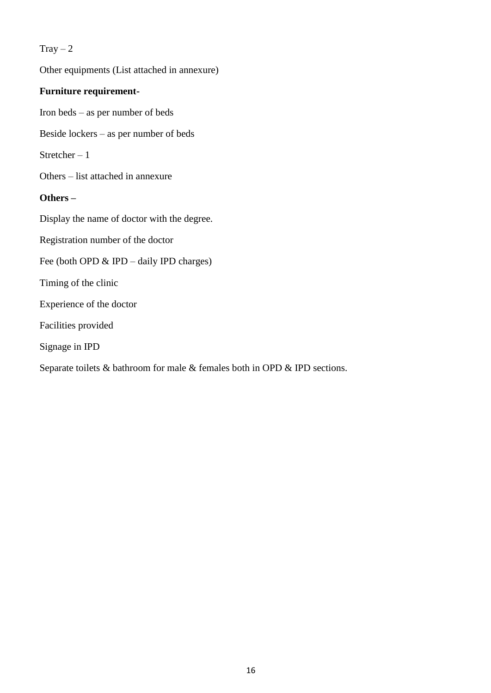## $Tray - 2$

Other equipments (List attached in annexure) **Furniture requirement-**Iron beds – as per number of beds Beside lockers – as per number of beds Stretcher  $-1$ Others – list attached in annexure **Others –** Display the name of doctor with the degree. Registration number of the doctor Fee (both OPD & IPD – daily IPD charges) Timing of the clinic Experience of the doctor Facilities provided Signage in IPD Separate toilets & bathroom for male & females both in OPD & IPD sections.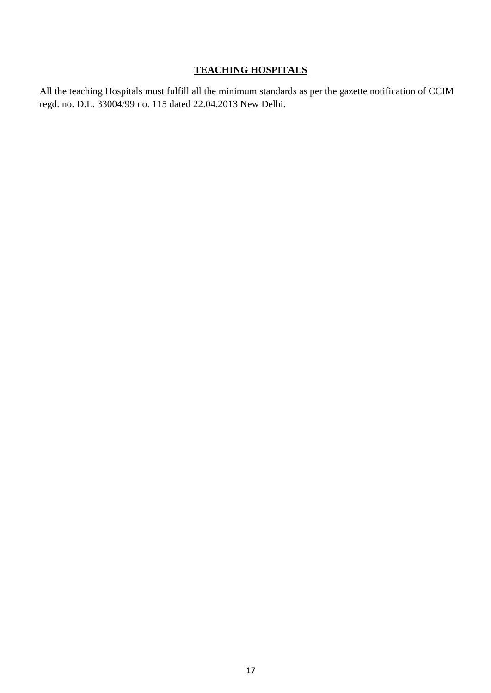# **TEACHING HOSPITALS**

All the teaching Hospitals must fulfill all the minimum standards as per the gazette notification of CCIM regd. no. D.L. 33004/99 no. 115 dated 22.04.2013 New Delhi.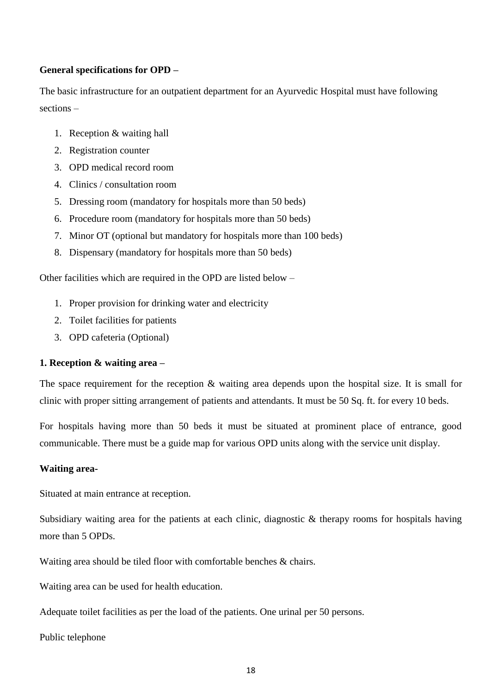## **General specifications for OPD –**

The basic infrastructure for an outpatient department for an Ayurvedic Hospital must have following sections –

- 1. Reception & waiting hall
- 2. Registration counter
- 3. OPD medical record room
- 4. Clinics / consultation room
- 5. Dressing room (mandatory for hospitals more than 50 beds)
- 6. Procedure room (mandatory for hospitals more than 50 beds)
- 7. Minor OT (optional but mandatory for hospitals more than 100 beds)
- 8. Dispensary (mandatory for hospitals more than 50 beds)

Other facilities which are required in the OPD are listed below –

- 1. Proper provision for drinking water and electricity
- 2. Toilet facilities for patients
- 3. OPD cafeteria (Optional)

# **1. Reception & waiting area –**

The space requirement for the reception & waiting area depends upon the hospital size. It is small for clinic with proper sitting arrangement of patients and attendants. It must be 50 Sq. ft. for every 10 beds.

For hospitals having more than 50 beds it must be situated at prominent place of entrance, good communicable. There must be a guide map for various OPD units along with the service unit display.

#### **Waiting area-**

Situated at main entrance at reception.

Subsidiary waiting area for the patients at each clinic, diagnostic & therapy rooms for hospitals having more than 5 OPDs.

Waiting area should be tiled floor with comfortable benches & chairs.

Waiting area can be used for health education.

Adequate toilet facilities as per the load of the patients. One urinal per 50 persons.

Public telephone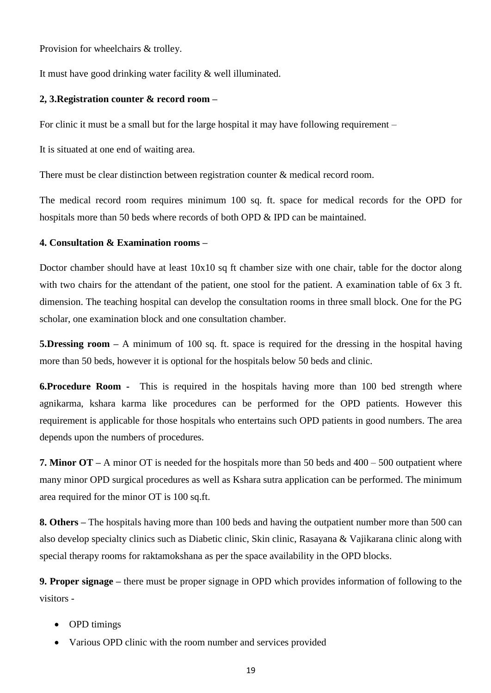Provision for wheelchairs & trolley.

It must have good drinking water facility & well illuminated.

### **2, 3.Registration counter & record room –**

For clinic it must be a small but for the large hospital it may have following requirement –

It is situated at one end of waiting area.

There must be clear distinction between registration counter & medical record room.

The medical record room requires minimum 100 sq. ft. space for medical records for the OPD for hospitals more than 50 beds where records of both OPD & IPD can be maintained.

### **4. Consultation & Examination rooms –**

Doctor chamber should have at least  $10x10$  sq ft chamber size with one chair, table for the doctor along with two chairs for the attendant of the patient, one stool for the patient. A examination table of 6x 3 ft. dimension. The teaching hospital can develop the consultation rooms in three small block. One for the PG scholar, one examination block and one consultation chamber.

**5.Dressing room –** A minimum of 100 sq. ft. space is required for the dressing in the hospital having more than 50 beds, however it is optional for the hospitals below 50 beds and clinic.

**6.Procedure Room -** This is required in the hospitals having more than 100 bed strength where agnikarma, kshara karma like procedures can be performed for the OPD patients. However this requirement is applicable for those hospitals who entertains such OPD patients in good numbers. The area depends upon the numbers of procedures.

**7. Minor OT –** A minor OT is needed for the hospitals more than 50 beds and 400 – 500 outpatient where many minor OPD surgical procedures as well as Kshara sutra application can be performed. The minimum area required for the minor OT is 100 sq.ft.

**8. Others –** The hospitals having more than 100 beds and having the outpatient number more than 500 can also develop specialty clinics such as Diabetic clinic, Skin clinic, Rasayana & Vajikarana clinic along with special therapy rooms for raktamokshana as per the space availability in the OPD blocks.

**9. Proper signage –** there must be proper signage in OPD which provides information of following to the visitors -

- OPD timings
- Various OPD clinic with the room number and services provided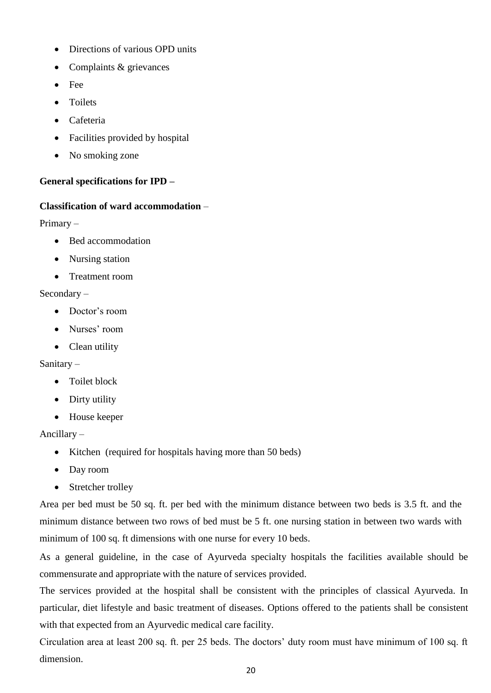- Directions of various OPD units
- Complaints & grievances
- Fee
- **Toilets**
- Cafeteria
- Facilities provided by hospital
- No smoking zone

### **General specifications for IPD –**

#### **Classification of ward accommodation** –

Primary –

- Bed accommodation
- Nursing station
- Treatment room

#### Secondary –

- Doctor's room
- Nurses' room
- Clean utility

#### Sanitary –

- Toilet block
- Dirty utility
- House keeper

#### Ancillary –

- Kitchen (required for hospitals having more than 50 beds)
- Day room
- Stretcher trolley

Area per bed must be 50 sq. ft. per bed with the minimum distance between two beds is 3.5 ft. and the minimum distance between two rows of bed must be 5 ft. one nursing station in between two wards with minimum of 100 sq. ft dimensions with one nurse for every 10 beds.

As a general guideline, in the case of Ayurveda specialty hospitals the facilities available should be commensurate and appropriate with the nature of services provided.

The services provided at the hospital shall be consistent with the principles of classical Ayurveda. In particular, diet lifestyle and basic treatment of diseases. Options offered to the patients shall be consistent with that expected from an Ayurvedic medical care facility.

Circulation area at least 200 sq. ft. per 25 beds. The doctors' duty room must have minimum of 100 sq. ft dimension.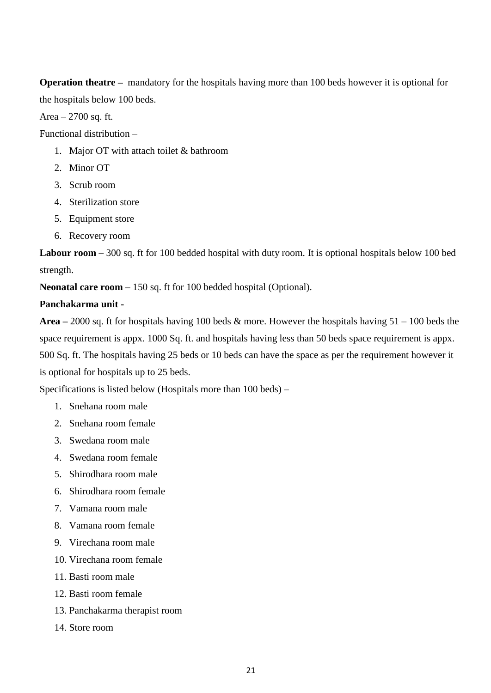**Operation theatre –** mandatory for the hospitals having more than 100 beds however it is optional for the hospitals below 100 beds.

Area  $-2700$  sq. ft.

Functional distribution –

- 1. Major OT with attach toilet & bathroom
- 2. Minor OT
- 3. Scrub room
- 4. Sterilization store
- 5. Equipment store
- 6. Recovery room

**Labour room –** 300 sq. ft for 100 bedded hospital with duty room. It is optional hospitals below 100 bed strength.

**Neonatal care room –** 150 sq. ft for 100 bedded hospital (Optional).

## **Panchakarma unit -**

**Area –** 2000 sq. ft for hospitals having 100 beds & more. However the hospitals having 51 – 100 beds the space requirement is appx. 1000 Sq. ft. and hospitals having less than 50 beds space requirement is appx. 500 Sq. ft. The hospitals having 25 beds or 10 beds can have the space as per the requirement however it is optional for hospitals up to 25 beds.

Specifications is listed below (Hospitals more than 100 beds) –

- 1. Snehana room male
- 2. Snehana room female
- 3. Swedana room male
- 4. Swedana room female
- 5. Shirodhara room male
- 6. Shirodhara room female
- 7. Vamana room male
- 8. Vamana room female
- 9. Virechana room male
- 10. Virechana room female
- 11. Basti room male
- 12. Basti room female
- 13. Panchakarma therapist room
- 14. Store room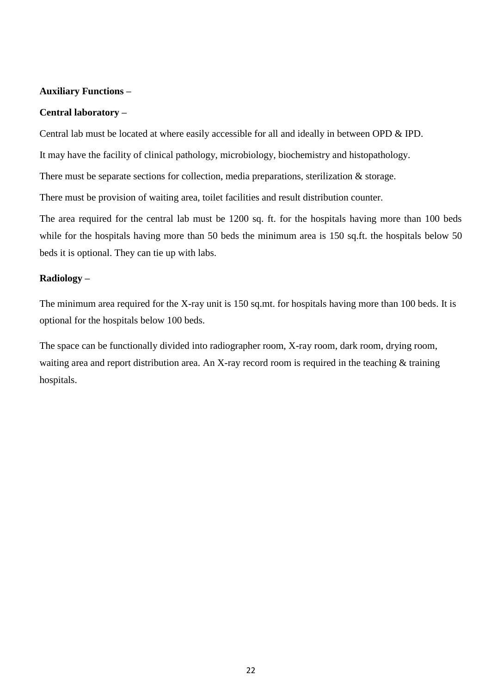## **Auxiliary Functions –**

#### **Central laboratory –**

Central lab must be located at where easily accessible for all and ideally in between OPD & IPD.

It may have the facility of clinical pathology, microbiology, biochemistry and histopathology.

There must be separate sections for collection, media preparations, sterilization & storage.

There must be provision of waiting area, toilet facilities and result distribution counter.

The area required for the central lab must be 1200 sq. ft. for the hospitals having more than 100 beds while for the hospitals having more than 50 beds the minimum area is 150 sq.ft. the hospitals below 50 beds it is optional. They can tie up with labs.

#### **Radiology –**

The minimum area required for the X-ray unit is 150 sq.mt. for hospitals having more than 100 beds. It is optional for the hospitals below 100 beds.

The space can be functionally divided into radiographer room, X-ray room, dark room, drying room, waiting area and report distribution area. An X-ray record room is required in the teaching & training hospitals.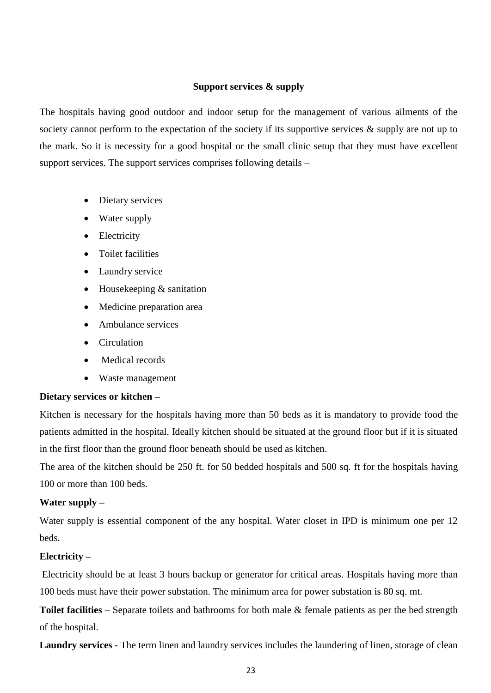#### **Support services & supply**

The hospitals having good outdoor and indoor setup for the management of various ailments of the society cannot perform to the expectation of the society if its supportive services  $\&$  supply are not up to the mark. So it is necessity for a good hospital or the small clinic setup that they must have excellent support services. The support services comprises following details –

- Dietary services
- Water supply
- Electricity
- Toilet facilities
- Laundry service
- Housekeeping & sanitation
- Medicine preparation area
- Ambulance services
- Circulation
- Medical records
- Waste management

#### **Dietary services or kitchen –**

Kitchen is necessary for the hospitals having more than 50 beds as it is mandatory to provide food the patients admitted in the hospital. Ideally kitchen should be situated at the ground floor but if it is situated in the first floor than the ground floor beneath should be used as kitchen.

The area of the kitchen should be 250 ft. for 50 bedded hospitals and 500 sq. ft for the hospitals having 100 or more than 100 beds.

## **Water supply –**

Water supply is essential component of the any hospital. Water closet in IPD is minimum one per 12 beds.

#### **Electricity –**

Electricity should be at least 3 hours backup or generator for critical areas. Hospitals having more than 100 beds must have their power substation. The minimum area for power substation is 80 sq. mt.

**Toilet facilities –** Separate toilets and bathrooms for both male & female patients as per the bed strength of the hospital.

**Laundry services -** The term linen and laundry services includes the laundering of linen, storage of clean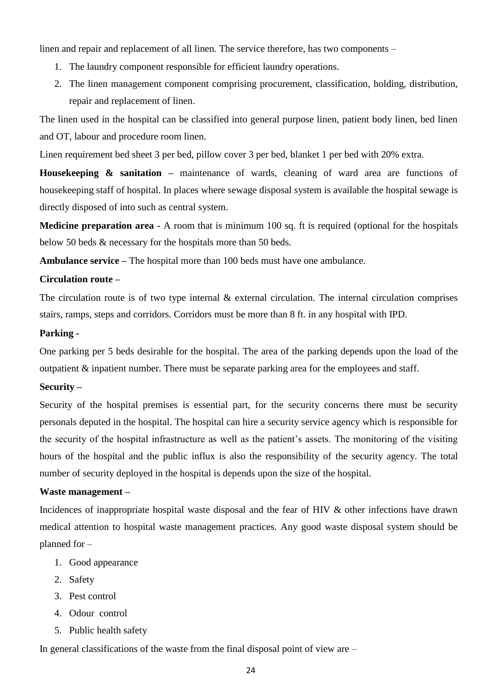linen and repair and replacement of all linen. The service therefore, has two components –

- 1. The laundry component responsible for efficient laundry operations.
- 2. The linen management component comprising procurement, classification, holding, distribution, repair and replacement of linen.

The linen used in the hospital can be classified into general purpose linen, patient body linen, bed linen and OT, labour and procedure room linen.

Linen requirement bed sheet 3 per bed, pillow cover 3 per bed, blanket 1 per bed with 20% extra.

Housekeeping & sanitation – maintenance of wards, cleaning of ward area are functions of housekeeping staff of hospital. In places where sewage disposal system is available the hospital sewage is directly disposed of into such as central system.

**Medicine preparation area -** A room that is minimum 100 sq. ft is required (optional for the hospitals below 50 beds & necessary for the hospitals more than 50 beds.

**Ambulance service –** The hospital more than 100 beds must have one ambulance.

#### **Circulation route –**

The circulation route is of two type internal  $\&$  external circulation. The internal circulation comprises stairs, ramps, steps and corridors. Corridors must be more than 8 ft. in any hospital with IPD.

#### **Parking -**

One parking per 5 beds desirable for the hospital. The area of the parking depends upon the load of the outpatient & inpatient number. There must be separate parking area for the employees and staff.

#### **Security –**

Security of the hospital premises is essential part, for the security concerns there must be security personals deputed in the hospital. The hospital can hire a security service agency which is responsible for the security of the hospital infrastructure as well as the patient's assets. The monitoring of the visiting hours of the hospital and the public influx is also the responsibility of the security agency. The total number of security deployed in the hospital is depends upon the size of the hospital.

#### **Waste management –**

Incidences of inappropriate hospital waste disposal and the fear of HIV & other infections have drawn medical attention to hospital waste management practices. Any good waste disposal system should be planned for –

- 1. Good appearance
- 2. Safety
- 3. Pest control
- 4. Odour control
- 5. Public health safety

In general classifications of the waste from the final disposal point of view are –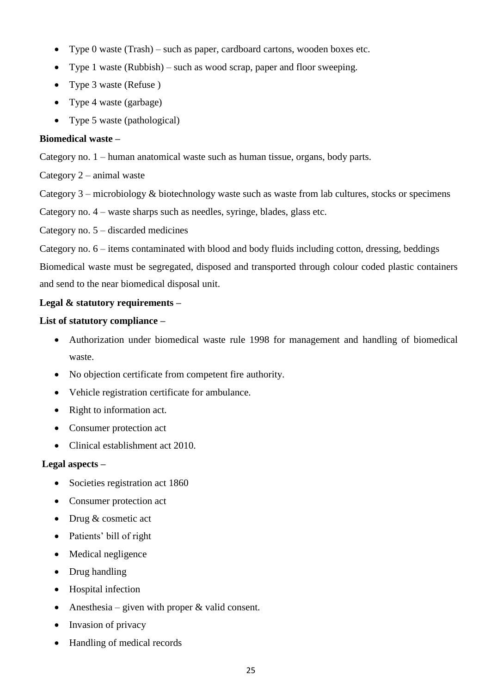- Type 0 waste (Trash) such as paper, cardboard cartons, wooden boxes etc.
- Type 1 waste (Rubbish) such as wood scrap, paper and floor sweeping.
- Type 3 waste (Refuse)
- Type 4 waste (garbage)
- Type 5 waste (pathological)

# **Biomedical waste –**

Category no. 1 – human anatomical waste such as human tissue, organs, body parts.

Category 2 – animal waste

Category 3 – microbiology & biotechnology waste such as waste from lab cultures, stocks or specimens

Category no. 4 – waste sharps such as needles, syringe, blades, glass etc.

Category no. 5 – discarded medicines

Category no. 6 – items contaminated with blood and body fluids including cotton, dressing, beddings

Biomedical waste must be segregated, disposed and transported through colour coded plastic containers and send to the near biomedical disposal unit.

# **Legal & statutory requirements –**

# **List of statutory compliance –**

- Authorization under biomedical waste rule 1998 for management and handling of biomedical waste.
- No objection certificate from competent fire authority.
- Vehicle registration certificate for ambulance.
- Right to information act.
- Consumer protection act
- Clinical establishment act 2010.

# **Legal aspects –**

- Societies registration act 1860
- Consumer protection act
- Drug & cosmetic act
- Patients' bill of right
- Medical negligence
- Drug handling
- Hospital infection
- Anesthesia given with proper  $&$  valid consent.
- Invasion of privacy
- Handling of medical records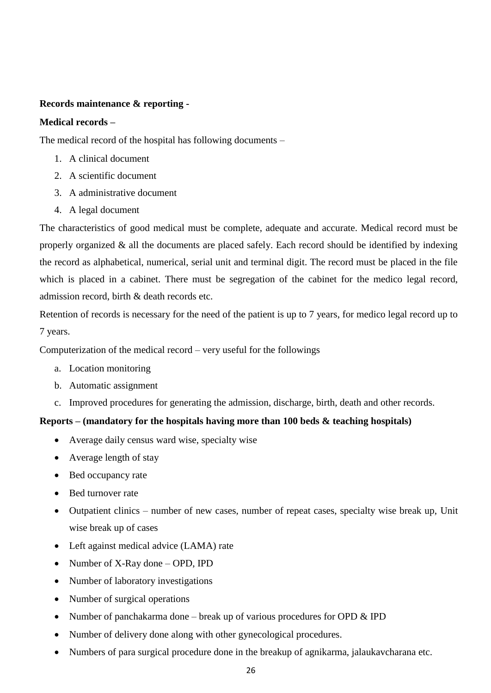## **Records maintenance & reporting -**

#### **Medical records –**

The medical record of the hospital has following documents –

- 1. A clinical document
- 2. A scientific document
- 3. A administrative document
- 4. A legal document

The characteristics of good medical must be complete, adequate and accurate. Medical record must be properly organized & all the documents are placed safely. Each record should be identified by indexing the record as alphabetical, numerical, serial unit and terminal digit. The record must be placed in the file which is placed in a cabinet. There must be segregation of the cabinet for the medico legal record, admission record, birth & death records etc.

Retention of records is necessary for the need of the patient is up to 7 years, for medico legal record up to 7 years.

Computerization of the medical record – very useful for the followings

- a. Location monitoring
- b. Automatic assignment
- c. Improved procedures for generating the admission, discharge, birth, death and other records.

#### **Reports – (mandatory for the hospitals having more than 100 beds & teaching hospitals)**

- Average daily census ward wise, specialty wise
- Average length of stay
- Bed occupancy rate
- Bed turnover rate
- Outpatient clinics number of new cases, number of repeat cases, specialty wise break up, Unit wise break up of cases
- Left against medical advice (LAMA) rate
- Number of X-Ray done OPD, IPD
- Number of laboratory investigations
- Number of surgical operations
- Number of panchakarma done break up of various procedures for OPD  $&$  IPD
- Number of delivery done along with other gynecological procedures.
- Numbers of para surgical procedure done in the breakup of agnikarma, jalaukavcharana etc.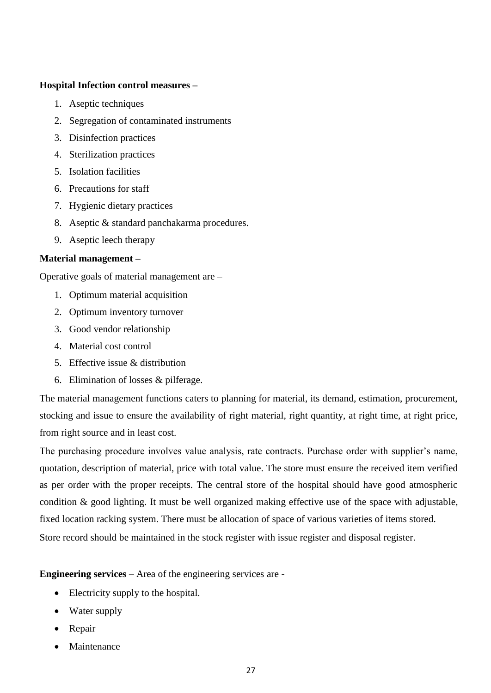#### **Hospital Infection control measures –**

- 1. Aseptic techniques
- 2. Segregation of contaminated instruments
- 3. Disinfection practices
- 4. Sterilization practices
- 5. Isolation facilities
- 6. Precautions for staff
- 7. Hygienic dietary practices
- 8. Aseptic & standard panchakarma procedures.
- 9. Aseptic leech therapy

### **Material management –**

Operative goals of material management are –

- 1. Optimum material acquisition
- 2. Optimum inventory turnover
- 3. Good vendor relationship
- 4. Material cost control
- 5. Effective issue & distribution
- 6. Elimination of losses & pilferage.

The material management functions caters to planning for material, its demand, estimation, procurement, stocking and issue to ensure the availability of right material, right quantity, at right time, at right price, from right source and in least cost.

The purchasing procedure involves value analysis, rate contracts. Purchase order with supplier's name, quotation, description of material, price with total value. The store must ensure the received item verified as per order with the proper receipts. The central store of the hospital should have good atmospheric condition & good lighting. It must be well organized making effective use of the space with adjustable, fixed location racking system. There must be allocation of space of various varieties of items stored. Store record should be maintained in the stock register with issue register and disposal register.

**Engineering services –** Area of the engineering services are -

- Electricity supply to the hospital.
- Water supply
- Repair
- Maintenance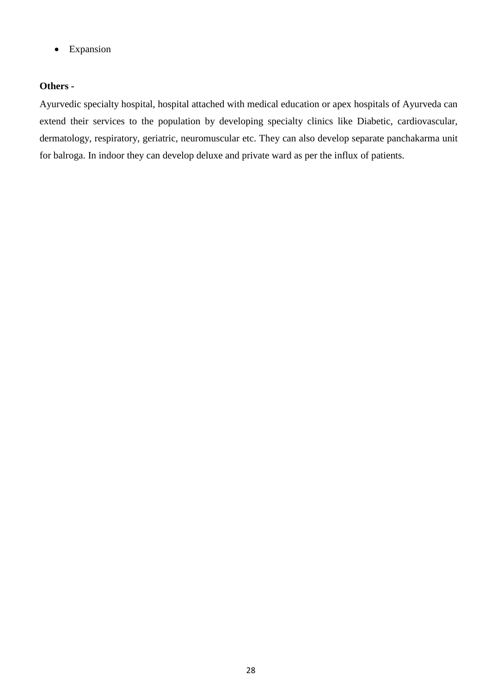• Expansion

# **Others -**

Ayurvedic specialty hospital, hospital attached with medical education or apex hospitals of Ayurveda can extend their services to the population by developing specialty clinics like Diabetic, cardiovascular, dermatology, respiratory, geriatric, neuromuscular etc. They can also develop separate panchakarma unit for balroga. In indoor they can develop deluxe and private ward as per the influx of patients.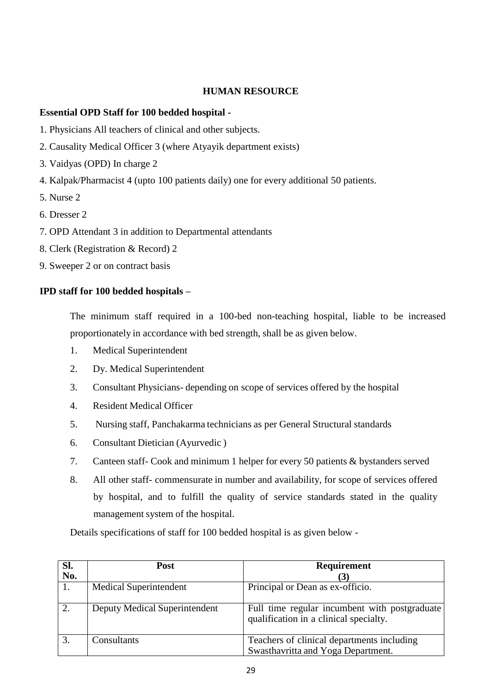# **HUMAN RESOURCE**

# **Essential OPD Staff for 100 bedded hospital -**

- 1. Physicians All teachers of clinical and other subjects.
- 2. Causality Medical Officer 3 (where Atyayik department exists)
- 3. Vaidyas (OPD) In charge 2
- 4. Kalpak/Pharmacist 4 (upto 100 patients daily) one for every additional 50 patients.
- 5. Nurse 2
- 6. Dresser 2
- 7. OPD Attendant 3 in addition to Departmental attendants
- 8. Clerk (Registration & Record) 2
- 9. Sweeper 2 or on contract basis

### **IPD staff for 100 bedded hospitals –**

The minimum staff required in a 100-bed non-teaching hospital, liable to be increased proportionately in accordance with bed strength, shall be as given below.

- 1. Medical Superintendent
- 2. Dy. Medical Superintendent
- 3. Consultant Physicians- depending on scope of services offered by the hospital
- 4. Resident Medical Officer
- 5. Nursing staff, Panchakarma technicians as per General Structural standards
- 6. Consultant Dietician (Ayurvedic )
- 7. Canteen staff- Cook and minimum 1 helper for every 50 patients & bystanders served
- 8. All other staff- commensurate in number and availability, for scope of services offered by hospital, and to fulfill the quality of service standards stated in the quality management system of the hospital.

Details specifications of staff for 100 bedded hospital is as given below -

| Sl. | Post                          | Requirement                                                                             |
|-----|-------------------------------|-----------------------------------------------------------------------------------------|
| No. |                               |                                                                                         |
|     | <b>Medical Superintendent</b> | Principal or Dean as ex-officio.                                                        |
| 2.  | Deputy Medical Superintendent | Full time regular incumbent with postgraduate<br>qualification in a clinical specialty. |
| 3.  | Consultants                   | Teachers of clinical departments including                                              |
|     |                               | Swasthavritta and Yoga Department.                                                      |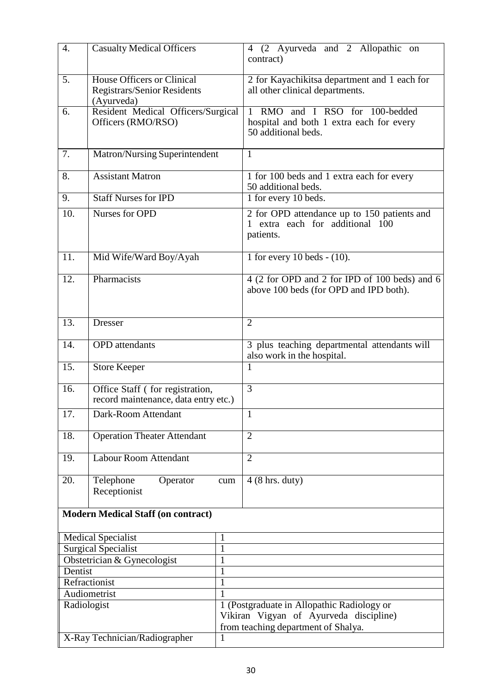| $\overline{4}$ .                   | Casualty Medical Officers                                                             |     | 4 (2 Ayurveda and 2 Allopathic on<br>contract)                                                    |  |
|------------------------------------|---------------------------------------------------------------------------------------|-----|---------------------------------------------------------------------------------------------------|--|
| 5.                                 | <b>House Officers or Clinical</b><br><b>Registrars/Senior Residents</b><br>(Ayurveda) |     | 2 for Kayachikitsa department and 1 each for<br>all other clinical departments.                   |  |
| 6.                                 | Resident Medical Officers/Surgical<br>Officers (RMO/RSO)                              |     | 1 RMO and I RSO for 100-bedded<br>hospital and both 1 extra each for every<br>50 additional beds. |  |
| 7.                                 | Matron/Nursing Superintendent                                                         |     | 1                                                                                                 |  |
| 8.                                 | <b>Assistant Matron</b>                                                               |     | 1 for 100 beds and 1 extra each for every<br>50 additional beds.                                  |  |
| 9.                                 | <b>Staff Nurses for IPD</b>                                                           |     | 1 for every 10 beds.                                                                              |  |
| 10.                                | Nurses for OPD                                                                        |     | 2 for OPD attendance up to 150 patients and<br>extra each for additional 100<br>patients.         |  |
| 11.                                | Mid Wife/Ward Boy/Ayah                                                                |     | 1 for every 10 beds $-$ (10).                                                                     |  |
| 12.                                | Pharmacists                                                                           |     | 4 (2 for OPD and 2 for IPD of 100 beds) and 6<br>above 100 beds (for OPD and IPD both).           |  |
| 13.                                | <b>Dresser</b>                                                                        |     | $\overline{2}$                                                                                    |  |
| 14.                                | <b>OPD</b> attendants                                                                 |     | 3 plus teaching departmental attendants will<br>also work in the hospital.                        |  |
| 15.                                | <b>Store Keeper</b>                                                                   |     | 1                                                                                                 |  |
| 16.                                | Office Staff (for registration,<br>record maintenance, data entry etc.)               |     | $\overline{3}$                                                                                    |  |
| 17.                                | Dark-Room Attendant                                                                   |     | 1                                                                                                 |  |
| 18.                                | <b>Operation Theater Attendant</b>                                                    |     | $\overline{2}$                                                                                    |  |
| 19.                                | <b>Labour Room Attendant</b>                                                          |     | $\overline{2}$                                                                                    |  |
| 20.                                | Telephone<br>Operator<br>Receptionist                                                 | cum | $4(8 \text{ hrs. duty})$                                                                          |  |
|                                    | <b>Modern Medical Staff (on contract)</b>                                             |     |                                                                                                   |  |
|                                    | <b>Medical Specialist</b>                                                             | 1   |                                                                                                   |  |
| Surgical Specialist<br>1           |                                                                                       |     |                                                                                                   |  |
| Obstetrician & Gynecologist<br>1   |                                                                                       |     |                                                                                                   |  |
| Dentist<br>$\mathbf{1}$            |                                                                                       |     |                                                                                                   |  |
| Refractionist<br>1<br>Audiometrist |                                                                                       |     |                                                                                                   |  |
| Radiologist                        |                                                                                       |     | 1 (Postgraduate in Allopathic Radiology or                                                        |  |
|                                    |                                                                                       |     | Vikiran Vigyan of Ayurveda discipline)<br>from teaching department of Shalya.                     |  |
|                                    | X-Ray Technician/Radiographer                                                         | 1   |                                                                                                   |  |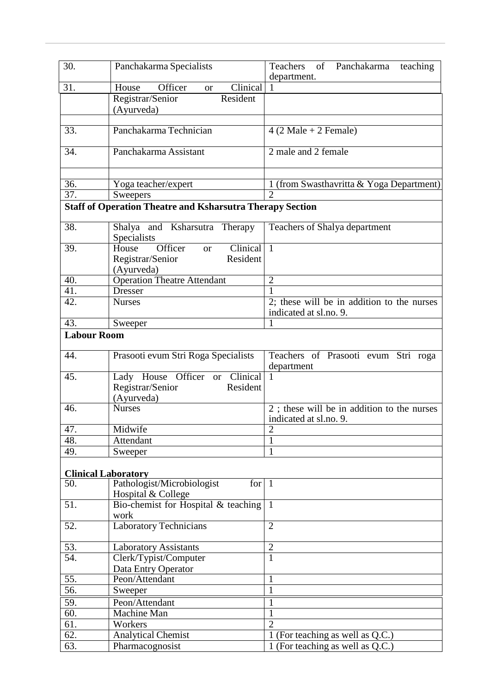| 30.                | Panchakarma Specialists                                                      | Teachers<br>of<br>Panchakarma<br>teaching                  |
|--------------------|------------------------------------------------------------------------------|------------------------------------------------------------|
| 31.                | Officer<br>Clinical<br>House<br><b>or</b>                                    | department.                                                |
|                    | Registrar/Senior<br>Resident                                                 |                                                            |
|                    | (Ayurveda)                                                                   |                                                            |
|                    |                                                                              |                                                            |
| 33.                | Panchakarma Technician                                                       | $4(2 \text{ Male} + 2 \text{ Female})$                     |
|                    |                                                                              |                                                            |
| 34.                | Panchakarma Assistant                                                        | 2 male and 2 female                                        |
|                    |                                                                              |                                                            |
|                    |                                                                              |                                                            |
| 36.<br>37.         | Yoga teacher/expert                                                          | 1 (from Swasthavritta & Yoga Department)<br>$\overline{2}$ |
|                    | Sweepers<br><b>Staff of Operation Theatre and Ksharsutra Therapy Section</b> |                                                            |
|                    |                                                                              |                                                            |
| 38.                | Shalya and Ksharsutra<br>Therapy                                             | Teachers of Shalya department                              |
|                    | Specialists                                                                  |                                                            |
| 39.                | Officer<br>Clinical<br>House<br><sub>or</sub>                                | $\mathbf{1}$                                               |
|                    | Registrar/Senior<br>Resident                                                 |                                                            |
|                    | (Ayurveda)                                                                   |                                                            |
| 40.                | <b>Operation Theatre Attendant</b>                                           | $\overline{2}$                                             |
| 41.                | <b>Dresser</b>                                                               |                                                            |
| 42.                | <b>Nurses</b>                                                                | 2; these will be in addition to the nurses                 |
| 43.                |                                                                              | indicated at sl.no. 9.<br>1                                |
| <b>Labour Room</b> | Sweeper                                                                      |                                                            |
|                    |                                                                              |                                                            |
| 44.                | Prasooti evum Stri Roga Specialists                                          | Teachers of Prasooti evum Stri roga                        |
|                    |                                                                              | department                                                 |
| 45.                | Lady House Officer<br>Clinical<br><b>or</b>                                  | 1                                                          |
|                    | Resident<br>Registrar/Senior                                                 |                                                            |
|                    | (Ayurveda)                                                                   |                                                            |
| 46.                | <b>Nurses</b>                                                                | 2; these will be in addition to the nurses                 |
|                    |                                                                              | indicated at sl.no. 9.                                     |
| 47.<br>48.         | Midwife<br>Attendant                                                         | $\overline{2}$                                             |
| 49.                | Sweeper                                                                      |                                                            |
|                    |                                                                              |                                                            |
|                    | <b>Clinical Laboratory</b>                                                   |                                                            |
| 50.                | Pathologist/Microbiologist<br>for                                            | $\mathbf{1}$                                               |
|                    | Hospital & College                                                           |                                                            |
| 51.                | Bio-chemist for Hospital & teaching                                          | $\mathbf{1}$                                               |
|                    | work                                                                         |                                                            |
| 52.                | <b>Laboratory Technicians</b>                                                | $\overline{2}$                                             |
|                    |                                                                              |                                                            |
| 53.<br>54.         | <b>Laboratory Assistants</b>                                                 | $\overline{2}$<br>$\mathbf{1}$                             |
|                    | Clerk/Typist/Computer<br>Data Entry Operator                                 |                                                            |
| 55.                | Peon/Attendant                                                               | 1                                                          |
| 56.                | Sweeper                                                                      | 1                                                          |
| 59.                | Peon/Attendant                                                               | 1                                                          |
| 60.                | Machine Man                                                                  | 1                                                          |
| 61.                | Workers                                                                      | $\overline{2}$                                             |
| 62.                | <b>Analytical Chemist</b>                                                    | 1 (For teaching as well as Q.C.)                           |
| 63.                | Pharmacognosist                                                              | 1 (For teaching as well as Q.C.)                           |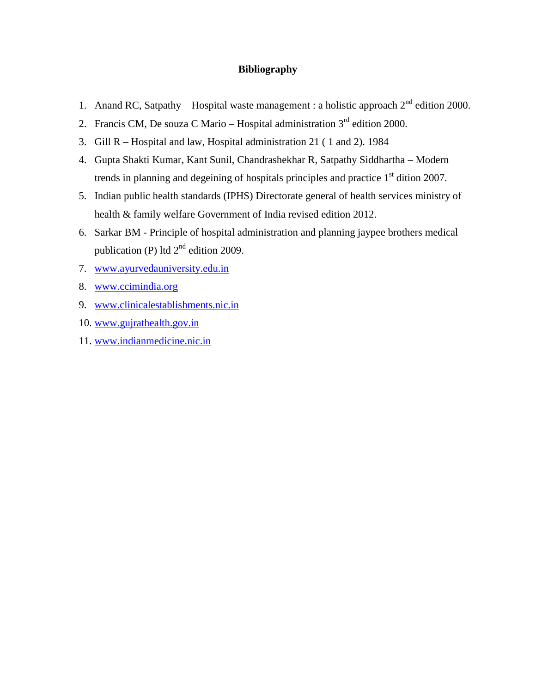#### **Bibliography**

- 1. Anand RC, Satpathy Hospital waste management : a holistic approach  $2^{nd}$  edition 2000.
- 2. Francis CM, De souza C Mario Hospital administration  $3<sup>rd</sup>$  edition 2000.
- 3. Gill R Hospital and law, Hospital administration 21 ( 1 and 2). 1984
- 4. Gupta Shakti Kumar, Kant Sunil, Chandrashekhar R, Satpathy Siddhartha Modern trends in planning and degeining of hospitals principles and practice  $1<sup>st</sup>$  dition 2007.
- 5. Indian public health standards (IPHS) Directorate general of health services ministry of health & family welfare Government of India revised edition 2012.
- 6. Sarkar BM Principle of hospital administration and planning jaypee brothers medical publication (P) ltd  $2<sup>nd</sup>$  edition 2009.
- 7. [www.ayurvedauniversity.edu.in](http://www.ayurvedauniversity.edu.in/)
- 8. [www.ccimindia.org](http://www.ccimindia.org/)
- 9. [www.clinicalestablishments.nic.in](http://www.clinicalestablishments.nic.in/)
- 10. [www.gujrathealth.gov.in](http://www.gujrathealth.gov.in/)
- 11. [www.indianmedicine.nic.in](http://www.indianmedicine.nic.in/)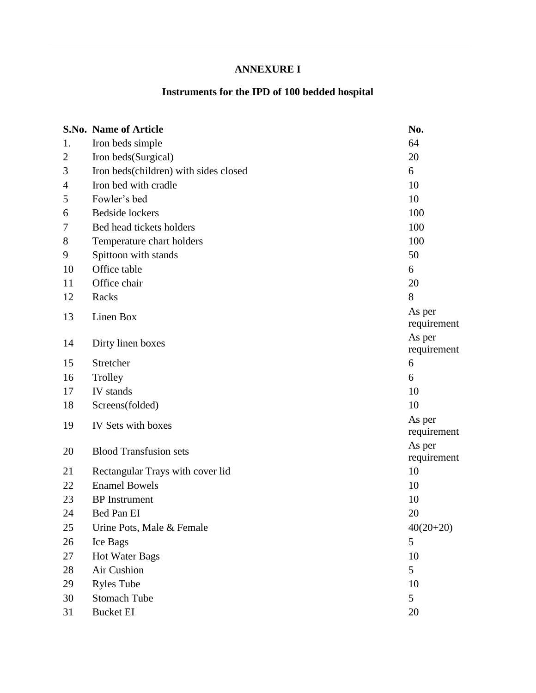# **ANNEXURE I**

# **Instruments for the IPD of 100 bedded hospital**

|    | S.No. Name of Article                 | No.         |
|----|---------------------------------------|-------------|
| 1. | Iron beds simple                      | 64          |
| 2  | Iron beds(Surgical)                   | 20          |
| 3  | Iron beds(children) with sides closed | 6           |
| 4  | Iron bed with cradle                  | 10          |
| 5  | Fowler's bed                          | 10          |
| 6  | <b>Bedside</b> lockers                | 100         |
| 7  | Bed head tickets holders              | 100         |
| 8  | Temperature chart holders             | 100         |
| 9  | Spittoon with stands                  | 50          |
| 10 | Office table                          | 6           |
| 11 | Office chair                          | 20          |
| 12 | Racks                                 | 8           |
| 13 | Linen Box                             | As per      |
|    |                                       | requirement |
| 14 | Dirty linen boxes                     | As per      |
|    |                                       | requirement |
| 15 | Stretcher                             | 6           |
| 16 | Trolley                               | 6           |
| 17 | IV stands                             | 10          |
| 18 | Screens(folded)                       | 10          |
| 19 | IV Sets with boxes                    | As per      |
|    |                                       | requirement |
| 20 | <b>Blood Transfusion sets</b>         | As per      |
|    |                                       | requirement |
| 21 | Rectangular Trays with cover lid      | 10          |
| 22 | <b>Enamel Bowels</b>                  | 10          |
| 23 | <b>BP</b> Instrument                  | 10          |
| 24 | Bed Pan EI                            | 20          |
| 25 | Urine Pots, Male & Female             | $40(20+20)$ |
| 26 | Ice Bags                              | 5           |
| 27 | <b>Hot Water Bags</b>                 | 10          |
| 28 | Air Cushion                           | 5           |
| 29 | <b>Ryles Tube</b>                     | 10          |
| 30 | <b>Stomach Tube</b>                   | 5           |
| 31 | <b>Bucket EI</b>                      | 20          |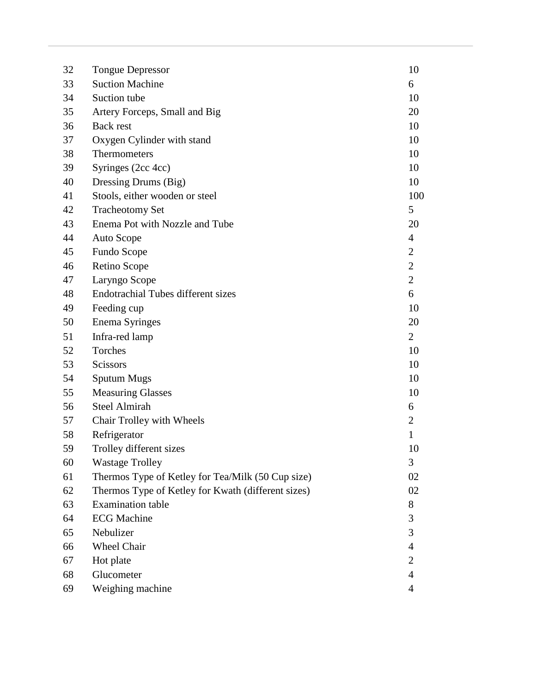| 32 | <b>Tongue Depressor</b>                            | 10             |
|----|----------------------------------------------------|----------------|
| 33 | <b>Suction Machine</b>                             | 6              |
| 34 | Suction tube                                       | 10             |
| 35 | Artery Forceps, Small and Big                      | 20             |
| 36 | <b>Back rest</b>                                   | 10             |
| 37 | Oxygen Cylinder with stand                         | 10             |
| 38 | Thermometers                                       | 10             |
| 39 | Syringes (2cc 4cc)                                 | 10             |
| 40 | Dressing Drums (Big)                               | 10             |
| 41 | Stools, either wooden or steel                     | 100            |
| 42 | <b>Tracheotomy Set</b>                             | 5              |
| 43 | Enema Pot with Nozzle and Tube                     | 20             |
| 44 | Auto Scope                                         | $\overline{4}$ |
| 45 | Fundo Scope                                        | $\overline{2}$ |
| 46 | Retino Scope                                       | $\overline{c}$ |
| 47 | Laryngo Scope                                      | $\overline{2}$ |
| 48 | <b>Endotrachial Tubes different sizes</b>          | 6              |
| 49 | Feeding cup                                        | 10             |
| 50 | <b>Enema Syringes</b>                              | 20             |
| 51 | Infra-red lamp                                     | $\overline{2}$ |
| 52 | Torches                                            | 10             |
| 53 | Scissors                                           | 10             |
| 54 | <b>Sputum Mugs</b>                                 | 10             |
| 55 | <b>Measuring Glasses</b>                           | 10             |
| 56 | <b>Steel Almirah</b>                               | 6              |
| 57 | Chair Trolley with Wheels                          | $\overline{2}$ |
| 58 | Refrigerator                                       | $\mathbf{1}$   |
| 59 | Trolley different sizes                            | 10             |
| 60 | <b>Wastage Trolley</b>                             | 3              |
| 61 | Thermos Type of Ketley for Tea/Milk (50 Cup size)  | 02             |
| 62 | Thermos Type of Ketley for Kwath (different sizes) | 02             |
| 63 | <b>Examination</b> table                           | 8              |
| 64 | <b>ECG Machine</b>                                 | 3              |
| 65 | Nebulizer                                          | 3              |
| 66 | Wheel Chair                                        | $\overline{4}$ |
| 67 | Hot plate                                          | $\overline{2}$ |
| 68 | Glucometer                                         | $\overline{4}$ |
| 69 | Weighing machine                                   | 4              |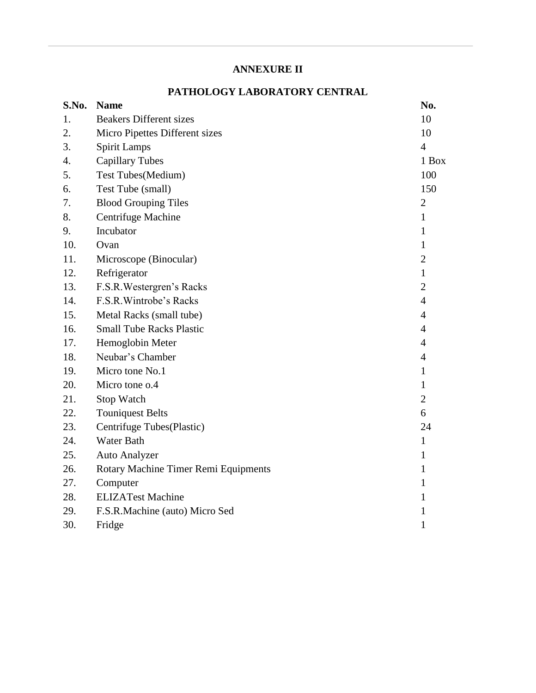# **ANNEXURE II**

# **PATHOLOGY LABORATORY CENTRAL**

| S.No. | <b>Name</b>                          | No.            |
|-------|--------------------------------------|----------------|
| 1.    | <b>Beakers Different sizes</b>       | 10             |
| 2.    | Micro Pipettes Different sizes       | 10             |
| 3.    | <b>Spirit Lamps</b>                  | $\overline{4}$ |
| 4.    | <b>Capillary Tubes</b>               | 1 Box          |
| 5.    | Test Tubes(Medium)                   | 100            |
| 6.    | Test Tube (small)                    | 150            |
| 7.    | <b>Blood Grouping Tiles</b>          | $\overline{2}$ |
| 8.    | Centrifuge Machine                   | $\mathbf{1}$   |
| 9.    | Incubator                            | 1              |
| 10.   | Ovan                                 | 1              |
| 11.   | Microscope (Binocular)               | $\overline{2}$ |
| 12.   | Refrigerator                         | $\mathbf{1}$   |
| 13.   | F.S.R. Westergren's Racks            | $\overline{2}$ |
| 14.   | F.S.R. Wintrobe's Racks              | $\overline{4}$ |
| 15.   | Metal Racks (small tube)             | $\overline{4}$ |
| 16.   | <b>Small Tube Racks Plastic</b>      | 4              |
| 17.   | Hemoglobin Meter                     | 4              |
| 18.   | Neubar's Chamber                     | 4              |
| 19.   | Micro tone No.1                      | 1              |
| 20.   | Micro tone o.4                       | 1              |
| 21.   | Stop Watch                           | $\overline{2}$ |
| 22.   | <b>Touniquest Belts</b>              | 6              |
| 23.   | Centrifuge Tubes(Plastic)            | 24             |
| 24.   | <b>Water Bath</b>                    | $\mathbf{1}$   |
| 25.   | <b>Auto Analyzer</b>                 | 1              |
| 26.   | Rotary Machine Timer Remi Equipments | 1              |
| 27.   | Computer                             | 1              |
| 28.   | <b>ELIZATest Machine</b>             | 1              |
| 29.   | F.S.R.Machine (auto) Micro Sed       | 1              |
| 30.   | Fridge                               | $\mathbf{1}$   |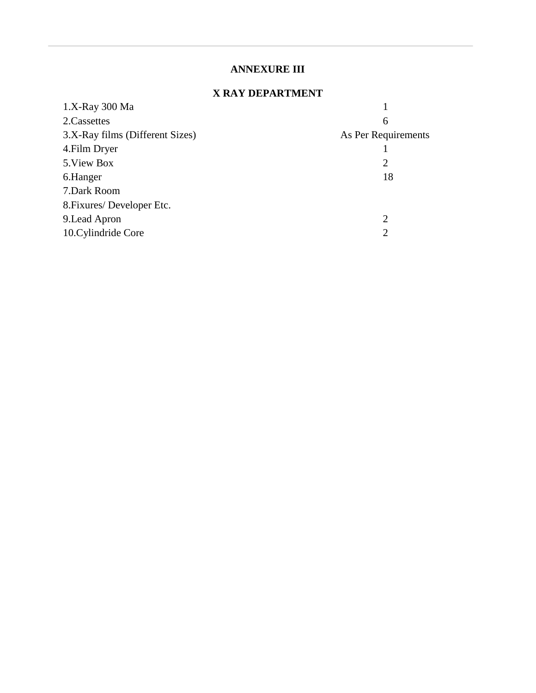# **ANNEXURE III**

# **X RAY DEPARTMENT**

| 1.X-Ray 300 Ma                  |                     |
|---------------------------------|---------------------|
| 2.Cassettes                     | 6                   |
| 3.X-Ray films (Different Sizes) | As Per Requirements |
| 4. Film Dryer                   |                     |
| 5. View Box                     | 2                   |
| 6.Hanger                        | 18                  |
| 7.Dark Room                     |                     |
| 8. Fixures/Developer Etc.       |                     |
| 9. Lead Apron                   | 2                   |
| 10. Cylindride Core             | $\overline{2}$      |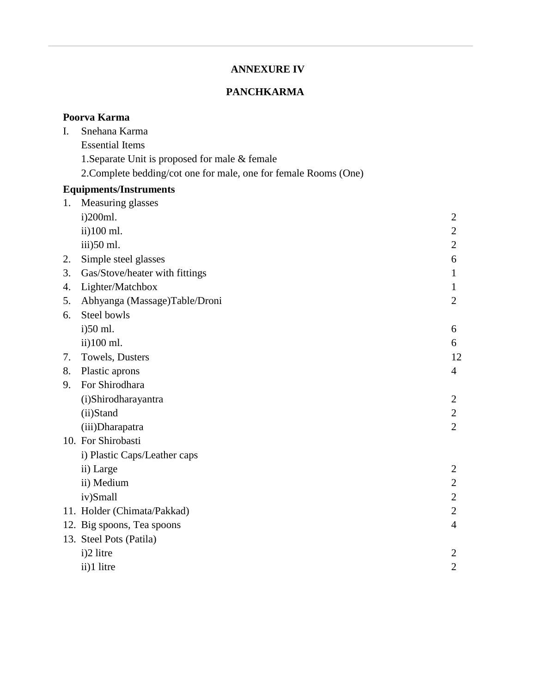# **ANNEXURE IV**

# **PANCHKARMA**

|    | Poorva Karma                                                     |                |
|----|------------------------------------------------------------------|----------------|
| Ι. | Snehana Karma                                                    |                |
|    | <b>Essential Items</b>                                           |                |
|    | 1. Separate Unit is proposed for male & female                   |                |
|    | 2. Complete bedding/cot one for male, one for female Rooms (One) |                |
|    | <b>Equipments/Instruments</b>                                    |                |
| 1. | Measuring glasses                                                |                |
|    | i)200ml.                                                         | $\overline{2}$ |
|    | ii)100 ml.                                                       | $\overline{2}$ |
|    | iii)50 ml.                                                       | $\mathbf{2}$   |
| 2. | Simple steel glasses                                             | 6              |
| 3. | Gas/Stove/heater with fittings                                   | $\mathbf{1}$   |
| 4. | Lighter/Matchbox                                                 | $\mathbf{1}$   |
| 5. | Abhyanga (Massage)Table/Droni                                    | $\overline{2}$ |
| 6. | Steel bowls                                                      |                |
|    | i)50 ml.                                                         | 6              |
|    | ii)100 ml.                                                       | 6              |
| 7. | Towels, Dusters                                                  | 12             |
| 8. | Plastic aprons                                                   | 4              |
| 9. | For Shirodhara                                                   |                |
|    | (i)Shirodharayantra                                              | $\overline{2}$ |
|    | (ii)Stand                                                        | 2              |
|    | (iii)Dharapatra                                                  | $\overline{2}$ |
|    | 10. For Shirobasti                                               |                |
|    | i) Plastic Caps/Leather caps                                     |                |
|    | ii) Large                                                        | $\overline{2}$ |
|    | ii) Medium                                                       | $\overline{2}$ |
|    | iv)Small                                                         | $\overline{2}$ |
|    | 11. Holder (Chimata/Pakkad)                                      | 2              |
|    | 12. Big spoons, Tea spoons                                       | 4              |
|    | 13. Steel Pots (Patila)                                          |                |
|    | i)2 litre                                                        | 2              |
|    | ii)1 litre                                                       | $\overline{2}$ |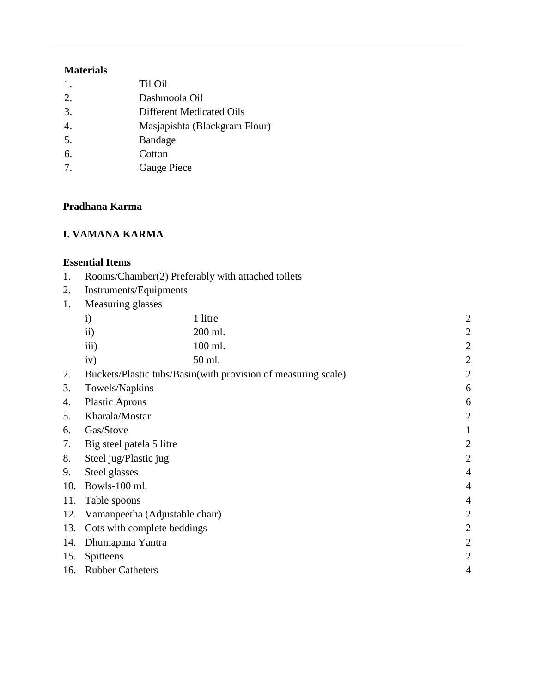# **Materials**

| $\mathbf{1}$ .   | Til Oil                       |
|------------------|-------------------------------|
| 2.               | Dashmoola Oil                 |
| 3.               | Different Medicated Oils      |
| $\overline{4}$ . | Masjapishta (Blackgram Flour) |
| 5.               | <b>Bandage</b>                |
| 6.               | Cotton                        |
| 7.               | Gauge Piece                   |

# **Pradhana Karma**

# **I. VAMANA KARMA**

#### **Essential Items**

- 1. Rooms/Chamber(2) Preferably with attached toilets
- 2. Instruments/Equipments
- 1. Measuring glasses

|     | $\mathbf{i}$                   | 1 litre                                                       | $\overline{2}$ |
|-----|--------------------------------|---------------------------------------------------------------|----------------|
|     | ii)                            | 200 ml.                                                       | $\overline{2}$ |
|     | iii)                           | 100 ml.                                                       | $\overline{2}$ |
|     | iv)                            | 50 ml.                                                        | $\overline{2}$ |
| 2.  |                                | Buckets/Plastic tubs/Basin(with provision of measuring scale) | $\overline{2}$ |
| 3.  | Towels/Napkins                 |                                                               | 6              |
| 4.  | <b>Plastic Aprons</b>          |                                                               | 6              |
| 5.  | Kharala/Mostar                 |                                                               | $\overline{2}$ |
| 6.  | Gas/Stove                      |                                                               |                |
| 7.  | Big steel patela 5 litre       |                                                               | $\overline{2}$ |
| 8.  | Steel jug/Plastic jug          |                                                               | $\overline{2}$ |
| 9.  | Steel glasses                  |                                                               | $\overline{4}$ |
| 10. | Bowls-100 ml.                  |                                                               | $\overline{4}$ |
| 11. | Table spoons                   |                                                               | $\overline{4}$ |
| 12. | Vamanpeetha (Adjustable chair) |                                                               | $\overline{2}$ |
| 13. | Cots with complete beddings    |                                                               | $\overline{2}$ |
| 14. | Dhumapana Yantra               |                                                               | $\overline{2}$ |
| 15. | Spitteens                      |                                                               | $\overline{2}$ |
| 16. | <b>Rubber Catheters</b>        |                                                               | 4              |
|     |                                |                                                               |                |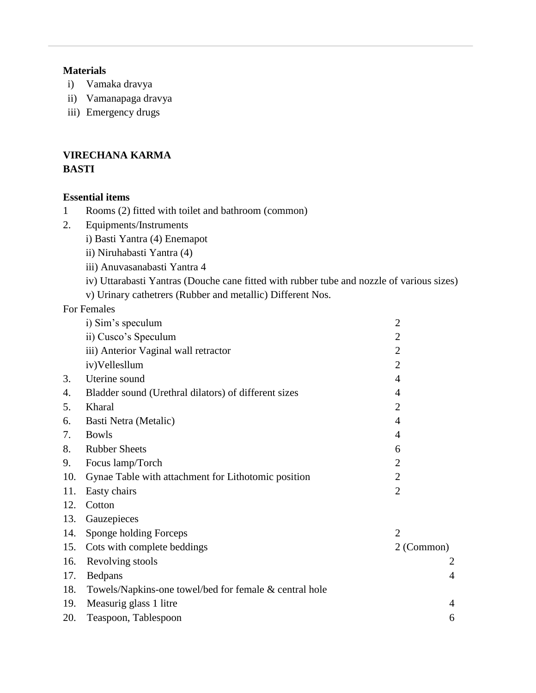#### **Materials**

- i) Vamaka dravya
- ii) Vamanapaga dravya
- iii) Emergency drugs

# **VIRECHANA KARMA BASTI**

#### **Essential items**

- 1 Rooms (2) fitted with toilet and bathroom (common)
- 2. Equipments/Instruments
	- i) Basti Yantra (4) Enemapot
	- ii) Niruhabasti Yantra (4)
	- iii) Anuvasanabasti Yantra 4
	- iv) Uttarabasti Yantras (Douche cane fitted with rubber tube and nozzle of various sizes)
	- v) Urinary cathetrers (Rubber and metallic) Different Nos.

For Females

|     | i) Sim's speculum                                      | $\overline{2}$ |
|-----|--------------------------------------------------------|----------------|
|     | ii) Cusco's Speculum                                   | $\overline{2}$ |
|     | iii) Anterior Vaginal wall retractor                   | $\overline{2}$ |
|     | iv)Vellesllum                                          | 2              |
| 3.  | Uterine sound                                          | 4              |
| 4.  | Bladder sound (Urethral dilators) of different sizes   | 4              |
| 5.  | Kharal                                                 | $\overline{2}$ |
| 6.  | Basti Netra (Metalic)                                  | 4              |
| 7.  | <b>Bowls</b>                                           | 4              |
| 8.  | <b>Rubber Sheets</b>                                   | 6              |
| 9.  | Focus lamp/Torch                                       | $\overline{2}$ |
| 10. | Gynae Table with attachment for Lithotomic position    | $\overline{2}$ |
| 11. | Easty chairs                                           | $\overline{2}$ |
| 12. | Cotton                                                 |                |
| 13. | Gauzepieces                                            |                |
| 14. | Sponge holding Forceps                                 | $\overline{2}$ |
| 15. | Cots with complete beddings                            | 2 (Common)     |
| 16. | Revolving stools                                       | $\overline{2}$ |
| 17. | Bedpans                                                | 4              |
| 18. | Towels/Napkins-one towel/bed for female & central hole |                |
| 19. | Measurig glass 1 litre                                 | 4              |
| 20. | Teaspoon, Tablespoon                                   | 6              |
|     |                                                        |                |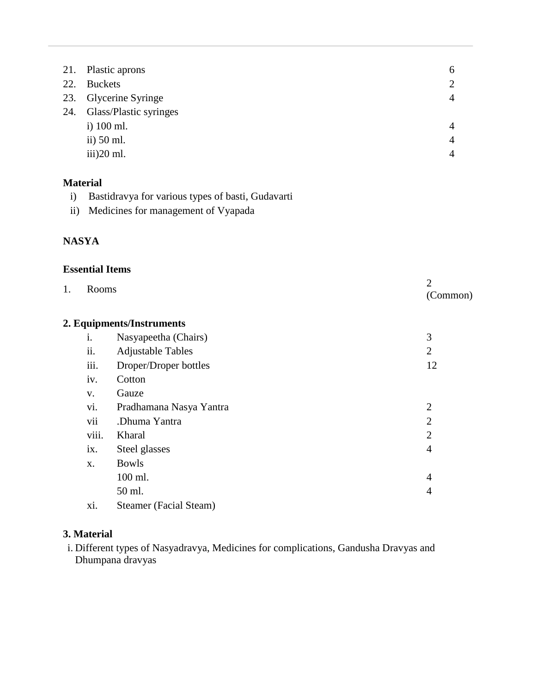|     | 21. Plastic aprons          | 6              |
|-----|-----------------------------|----------------|
| 22. | <b>Buckets</b>              | 2              |
|     | 23. Glycerine Syringe       | 4              |
|     | 24. Glass/Plastic syringes  |                |
|     | i) $100$ ml.                | $\overline{4}$ |
|     | ii) $50$ ml.                | 4              |
|     | $\frac{\text{iii}}{20}$ ml. | 4              |
|     |                             |                |

# **Material**

- i) Bastidravya for various types of basti, Gudavarti
- ii) Medicines for management of Vyapada

# **NASYA**

#### **Essential Items**

| 1.    | Rooms                         |                |  |  |  |
|-------|-------------------------------|----------------|--|--|--|
|       | 2. Equipments/Instruments     |                |  |  |  |
| i.    | Nasyapeetha (Chairs)          | 3              |  |  |  |
| ii.   | <b>Adjustable Tables</b>      | $\overline{2}$ |  |  |  |
| iii.  | Droper/Droper bottles         | 12             |  |  |  |
| iv.   | Cotton                        |                |  |  |  |
| V.    | Gauze                         |                |  |  |  |
| vi.   | Pradhamana Nasya Yantra       | $\overline{2}$ |  |  |  |
| vii   | .Dhuma Yantra                 | $\overline{2}$ |  |  |  |
| viii. | Kharal                        | $\overline{2}$ |  |  |  |
| ix.   | Steel glasses                 | 4              |  |  |  |
| X.    | <b>Bowls</b>                  |                |  |  |  |
|       | 100 ml.                       | 4              |  |  |  |
|       | 50 ml.                        | 4              |  |  |  |
| xi.   | <b>Steamer</b> (Facial Steam) |                |  |  |  |

# **3. Material**

i. Different types of Nasyadravya, Medicines for complications, Gandusha Dravyas and Dhumpana dravyas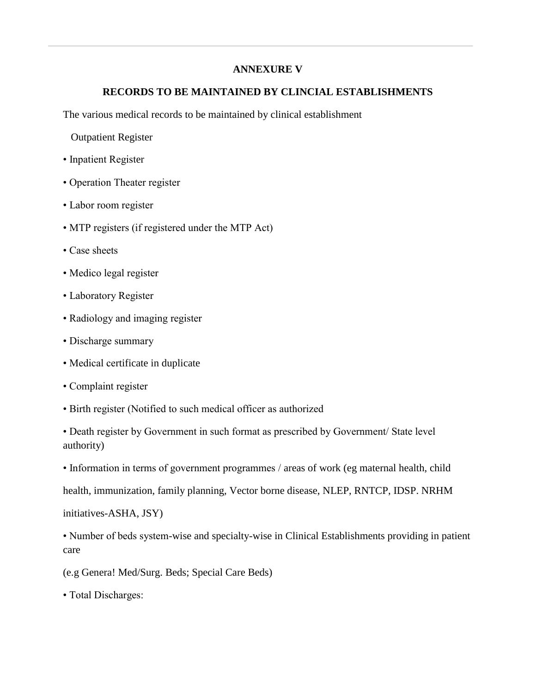#### **ANNEXURE V**

#### **RECORDS TO BE MAINTAINED BY CLINCIAL ESTABLISHMENTS**

The various medical records to be maintained by clinical establishment

Outpatient Register

- Inpatient Register
- Operation Theater register
- Labor room register
- MTP registers (if registered under the MTP Act)
- Case sheets
- Medico legal register
- Laboratory Register
- Radiology and imaging register
- Discharge summary
- Medical certificate in duplicate
- Complaint register
- Birth register (Notified to such medical officer as authorized
- Death register by Government in such format as prescribed by Government/ State level authority)
- Information in terms of government programmes / areas of work (eg maternal health, child

health, immunization, family planning, Vector borne disease, NLEP, RNTCP, IDSP. NRHM

initiatives-ASHA, JSY)

• Number of beds system-wise and specialty-wise in Clinical Establishments providing in patient care

(e.g Genera! Med/Surg. Beds; Special Care Beds)

• Total Discharges: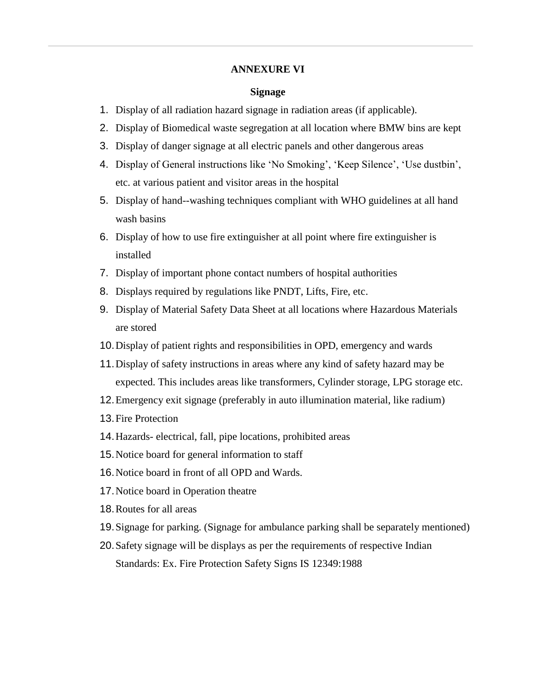#### **ANNEXURE VI**

#### **Signage**

- 1. Display of all radiation hazard signage in radiation areas (if applicable).
- 2. Display of Biomedical waste segregation at all location where BMW bins are kept
- 3. Display of danger signage at all electric panels and other dangerous areas
- 4. Display of General instructions like 'No Smoking', 'Keep Silence', 'Use dustbin', etc. at various patient and visitor areas in the hospital
- 5. Display of hand--washing techniques compliant with WHO guidelines at all hand wash basins
- 6. Display of how to use fire extinguisher at all point where fire extinguisher is installed
- 7. Display of important phone contact numbers of hospital authorities
- 8. Displays required by regulations like PNDT, Lifts, Fire, etc.
- 9. Display of Material Safety Data Sheet at all locations where Hazardous Materials are stored
- 10.Display of patient rights and responsibilities in OPD, emergency and wards
- 11.Display of safety instructions in areas where any kind of safety hazard may be expected. This includes areas like transformers, Cylinder storage, LPG storage etc.
- 12.Emergency exit signage (preferably in auto illumination material, like radium)
- 13.Fire Protection
- 14.Hazards- electrical, fall, pipe locations, prohibited areas
- 15.Notice board for general information to staff
- 16.Notice board in front of all OPD and Wards.
- 17.Notice board in Operation theatre
- 18.Routes for all areas
- 19.Signage for parking. (Signage for ambulance parking shall be separately mentioned)
- 20.Safety signage will be displays as per the requirements of respective Indian Standards: Ex. Fire Protection Safety Signs IS 12349:1988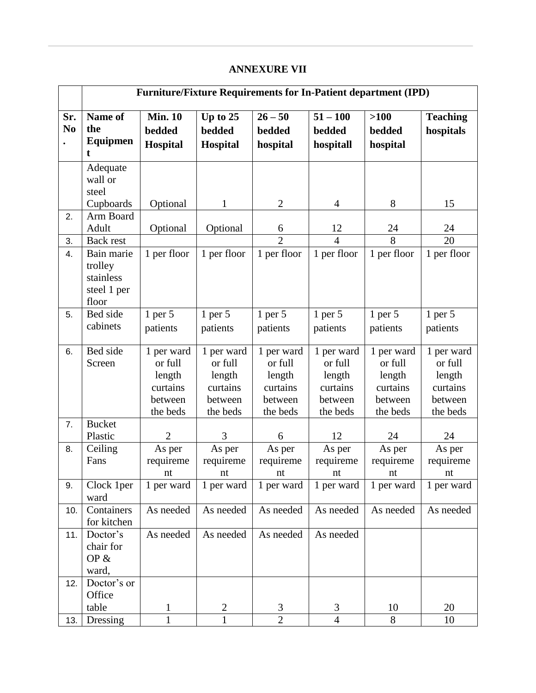# **ANNEXURE VII**

| <b>Furniture/Fixture Requirements for In-Patient department (IPD)</b> |                                                                    |                                                                    |                                                                    |                                                                    |                                                                    |                                                                    |  |
|-----------------------------------------------------------------------|--------------------------------------------------------------------|--------------------------------------------------------------------|--------------------------------------------------------------------|--------------------------------------------------------------------|--------------------------------------------------------------------|--------------------------------------------------------------------|--|
| Name of<br>the<br>Equipmen                                            | <b>Min. 10</b><br>bedded<br><b>Hospital</b>                        | Up to $25$<br>bedded<br>Hospital                                   | $26 - 50$<br>bedded<br>hospital                                    | $51 - 100$<br>bedded<br>hospitall                                  | $>100$<br>bedded<br>hospital                                       | <b>Teaching</b><br>hospitals                                       |  |
| Adequate<br>wall or<br>steel<br>Cupboards                             | Optional                                                           | $\mathbf{1}$                                                       | $\overline{2}$                                                     | $\overline{4}$                                                     | 8                                                                  | 15                                                                 |  |
| Arm Board<br>Adult                                                    | Optional                                                           | Optional                                                           | 6                                                                  | 12                                                                 | 24                                                                 | 24                                                                 |  |
|                                                                       |                                                                    |                                                                    |                                                                    |                                                                    |                                                                    | $\overline{20}$                                                    |  |
| Bain marie<br>trolley<br>stainless<br>steel 1 per<br>floor            | 1 per floor                                                        | 1 per floor                                                        | 1 per floor                                                        | 1 per floor                                                        | 1 per floor                                                        | 1 per floor                                                        |  |
| Bed side<br>cabinets                                                  | $1$ per $5$<br>patients                                            | $1$ per $5$<br>patients                                            | $1$ per $5$<br>patients                                            | $1$ per $5$<br>patients                                            | $1$ per $5$<br>patients                                            | $1$ per $5$<br>patients                                            |  |
| Bed side<br>Screen                                                    | 1 per ward<br>or full<br>length<br>curtains<br>between<br>the beds | 1 per ward<br>or full<br>length<br>curtains<br>between<br>the beds | 1 per ward<br>or full<br>length<br>curtains<br>between<br>the beds | 1 per ward<br>or full<br>length<br>curtains<br>between<br>the beds | 1 per ward<br>or full<br>length<br>curtains<br>between<br>the beds | 1 per ward<br>or full<br>length<br>curtains<br>between<br>the beds |  |
| <b>Bucket</b><br>Plastic                                              | $\overline{2}$                                                     | 3                                                                  | 6                                                                  | 12                                                                 | 24                                                                 | 24                                                                 |  |
| Ceiling<br>Fans                                                       | As per<br>requireme<br>nt                                          | As per<br>requireme<br>nt                                          | As per<br>requireme<br>nt                                          | As per<br>requireme<br>nt                                          | As per<br>requireme<br>nt                                          | As per<br>requireme<br>nt                                          |  |
| Clock 1per<br>ward                                                    | 1 per ward                                                         | 1 per ward                                                         | 1 per ward                                                         | 1 per ward                                                         | 1 per ward                                                         | 1 per ward                                                         |  |
| Containers<br>for kitchen                                             | As needed                                                          | As needed                                                          | As needed                                                          | As needed                                                          | As needed                                                          | As needed                                                          |  |
| Doctor's<br>chair for<br>OP $&$<br>ward,                              | As needed                                                          | As needed                                                          | As needed                                                          | As needed                                                          |                                                                    |                                                                    |  |
| Doctor's or<br>Office                                                 |                                                                    |                                                                    |                                                                    |                                                                    |                                                                    | 20                                                                 |  |
|                                                                       |                                                                    |                                                                    |                                                                    |                                                                    |                                                                    | 10                                                                 |  |
|                                                                       | Back rest<br>table<br>Dressing                                     | $\mathbf{1}$<br>1                                                  | $\overline{2}$<br>1                                                | $\overline{2}$<br>3<br>$\overline{2}$                              | $\overline{4}$<br>3<br>$\overline{4}$                              | 8<br>10<br>8                                                       |  |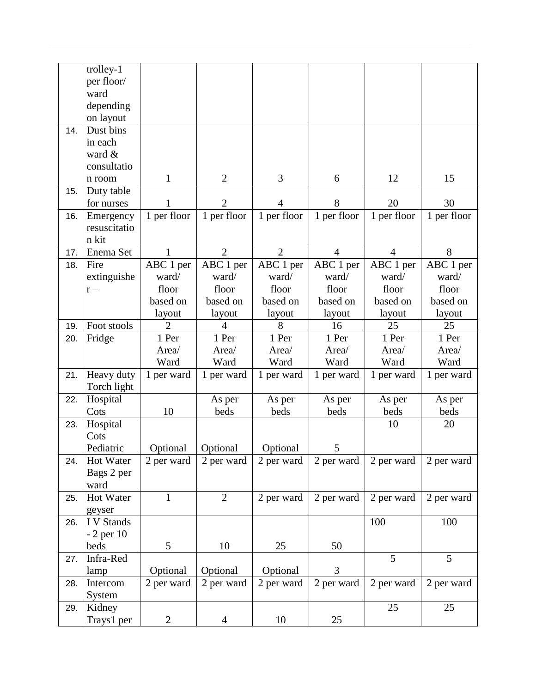|     | trolley-1    |                |                |                          |                |                |             |
|-----|--------------|----------------|----------------|--------------------------|----------------|----------------|-------------|
|     | per floor/   |                |                |                          |                |                |             |
|     | ward         |                |                |                          |                |                |             |
|     | depending    |                |                |                          |                |                |             |
|     | on layout    |                |                |                          |                |                |             |
| 14. | Dust bins    |                |                |                          |                |                |             |
|     |              |                |                |                          |                |                |             |
|     | in each      |                |                |                          |                |                |             |
|     | ward &       |                |                |                          |                |                |             |
|     | consultatio  |                |                |                          |                |                |             |
|     | n room       | 1              | $\overline{2}$ | 3                        | 6              | 12             | 15          |
| 15. | Duty table   |                |                |                          |                |                |             |
|     | for nurses   |                | $\overline{2}$ | $\overline{\mathcal{A}}$ | 8              | 20             | 30          |
| 16. | Emergency    | 1 per floor    | 1 per floor    | 1 per floor              | 1 per floor    | 1 per floor    | 1 per floor |
|     | resuscitatio |                |                |                          |                |                |             |
|     | n kit        |                |                |                          |                |                |             |
| 17. | Enema Set    | 1              | $\overline{2}$ | $\overline{2}$           | $\overline{4}$ | $\overline{4}$ | 8           |
|     | Fire         |                |                |                          |                |                |             |
| 18. |              | ABC 1 per      | ABC 1 per      | ABC 1 per                | ABC 1 per      | ABC 1 per      | ABC 1 per   |
|     | extinguishe  | ward/          | ward/          | ward/                    | ward/          | ward/          | ward/       |
|     | $r -$        | floor          | floor          | floor                    | floor          | floor          | floor       |
|     |              | based on       | based on       | based on                 | based on       | based on       | based on    |
|     |              | layout         | layout         | layout                   | layout         | layout         | layout      |
| 19. | Foot stools  | $\overline{2}$ | $\overline{4}$ | 8                        | 16             | 25             | 25          |
| 20. | Fridge       | 1 Per          | 1 Per          | 1 Per                    | 1 Per          | 1 Per          | 1 Per       |
|     |              | Area/          | Area/          | Area/                    | Area/          | Area/          | Area/       |
|     |              | Ward           | Ward           | Ward                     | Ward           | Ward           | Ward        |
| 21. | Heavy duty   | 1 per ward     | 1 per ward     | 1 per ward               | 1 per ward     | 1 per ward     | 1 per ward  |
|     | Torch light  |                |                |                          |                |                |             |
|     |              |                |                |                          |                |                |             |
| 22. | Hospital     |                | As per         | As per                   | As per         | As per         | As per      |
|     | Cots         | 10             | beds           | beds                     | beds           | beds           | beds        |
| 23. | Hospital     |                |                |                          |                | 10             | 20          |
|     | Cots         |                |                |                          |                |                |             |
|     | Pediatric    | Optional       | Optional       | Optional                 | 5              |                |             |
| 24. | Hot Water    | 2 per ward     | 2 per ward     | 2 per ward               | 2 per ward     | 2 per ward     | 2 per ward  |
|     | Bags 2 per   |                |                |                          |                |                |             |
|     | ward         |                |                |                          |                |                |             |
| 25. | Hot Water    | $\mathbf{1}$   | $\overline{2}$ | 2 per ward               | 2 per ward     | 2 per ward     | 2 per ward  |
|     | geyser       |                |                |                          |                |                |             |
| 26. | I V Stands   |                |                |                          |                | 100            | 100         |
|     |              |                |                |                          |                |                |             |
|     | $-2$ per 10  |                |                |                          |                |                |             |
|     | beds         | 5              | 10             | 25                       | 50             |                |             |
| 27. | Infra-Red    |                |                |                          |                | 5              | 5           |
|     | lamp         | Optional       | Optional       | Optional                 | 3              |                |             |
| 28. | Intercom     | 2 per ward     | 2 per ward     | 2 per ward               | 2 per ward     | 2 per ward     | 2 per ward  |
|     | System       |                |                |                          |                |                |             |
| 29. | Kidney       |                |                |                          |                | 25             | 25          |
|     | Trays1 per   | $\overline{c}$ | $\overline{4}$ | 10                       | 25             |                |             |
|     |              |                |                |                          |                |                |             |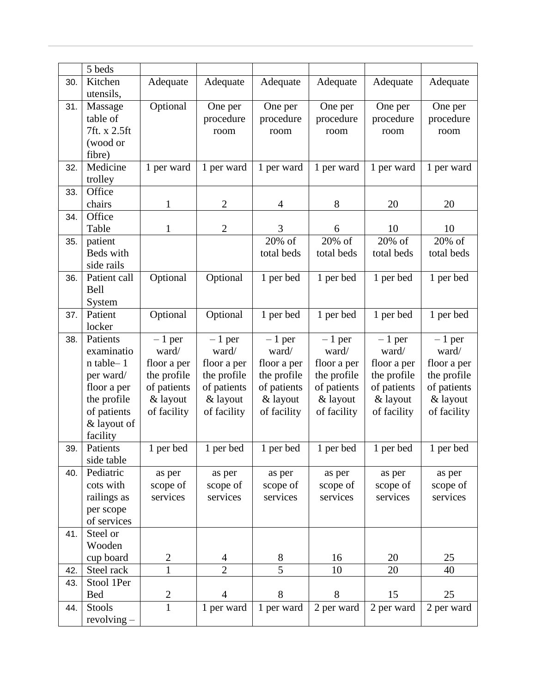|     | 5 beds        |                              |                |                |             |             |             |
|-----|---------------|------------------------------|----------------|----------------|-------------|-------------|-------------|
| 30. | Kitchen       | Adequate                     | Adequate       | Adequate       | Adequate    | Adequate    | Adequate    |
|     | utensils,     |                              |                |                |             |             |             |
| 31. | Massage       | Optional                     | One per        | One per        | One per     | One per     | One per     |
|     | table of      |                              | procedure      | procedure      | procedure   | procedure   | procedure   |
|     | 7ft. x 2.5ft  |                              | room           |                | room        | room        | room        |
|     | (wood or      |                              |                | room           |             |             |             |
|     |               |                              |                |                |             |             |             |
|     | fibre)        |                              |                |                |             |             |             |
| 32. | Medicine      | 1 per ward                   | 1 per ward     | 1 per ward     | 1 per ward  | 1 per ward  | 1 per ward  |
|     | trolley       |                              |                |                |             |             |             |
| 33. | Office        |                              |                |                |             |             |             |
|     | chairs        | 1                            | $\overline{2}$ | 4              | 8           | 20          | 20          |
| 34. | Office        |                              |                |                |             |             |             |
|     | Table         | $\mathbf{1}$                 | $\overline{2}$ | 3              | 6           | 10          | 10          |
| 35. | patient       |                              |                | 20% of         | 20% of      | 20% of      | 20% of      |
|     | Beds with     |                              |                | total beds     | total beds  | total beds  | total beds  |
|     | side rails    |                              |                |                |             |             |             |
| 36. | Patient call  | Optional                     | Optional       | 1 per bed      | 1 per bed   | 1 per bed   | 1 per bed   |
|     | Bell          |                              |                |                |             |             |             |
|     | System        |                              |                |                |             |             |             |
| 37. | Patient       | Optional                     | Optional       | 1 per bed      | 1 per bed   | 1 per bed   | 1 per bed   |
|     | locker        |                              |                |                |             |             |             |
| 38. | Patients      | $-1$ per                     | $-1$ per       | $-1$ per       | $-1$ per    | $-1$ per    | $-1$ per    |
|     | examinatio    | ward/                        | ward/          | ward/          | ward/       | ward/       | ward/       |
|     | n table-1     | floor a per                  | floor a per    | floor a per    | floor a per | floor a per | floor a per |
|     | per ward/     | the profile                  | the profile    | the profile    | the profile | the profile | the profile |
|     | floor a per   | of patients                  | of patients    | of patients    | of patients | of patients | of patients |
|     | the profile   | & layout                     | & layout       | & layout       | & layout    | & layout    | & layout    |
|     | of patients   | of facility                  | of facility    | of facility    | of facility | of facility | of facility |
|     | & layout of   |                              |                |                |             |             |             |
|     | facility      |                              |                |                |             |             |             |
| 39. | Patients      | 1 per bed                    | 1 per bed      | 1 per bed      | 1 per bed   | 1 per bed   | 1 per bed   |
|     | side table    |                              |                |                |             |             |             |
| 40. | Pediatric     | as per                       | as per         | as per         | as per      | as per      | as per      |
|     | cots with     | scope of                     | scope of       | scope of       | scope of    | scope of    | scope of    |
|     | railings as   | services                     | services       | services       | services    | services    | services    |
|     | per scope     |                              |                |                |             |             |             |
|     | of services   |                              |                |                |             |             |             |
| 41. | Steel or      |                              |                |                |             |             |             |
|     | Wooden        |                              |                |                |             |             |             |
|     | cup board     | $\mathbf{2}$                 | 4              | 8              | 16          | 20          | 25          |
| 42. | Steel rack    | $\mathbf{1}$                 | $\overline{2}$ | $\overline{5}$ | 10          | 20          | 40          |
| 43. | Stool 1Per    |                              |                |                |             |             |             |
|     | <b>Bed</b>    |                              | $\overline{4}$ | 8              | 8           | 15          | 25          |
|     |               | $\mathbf{2}$<br>$\mathbf{1}$ |                |                |             |             |             |
| 44. | Stools        |                              | 1 per ward     | 1 per ward     | 2 per ward  | 2 per ward  | 2 per ward  |
|     | $revolving -$ |                              |                |                |             |             |             |